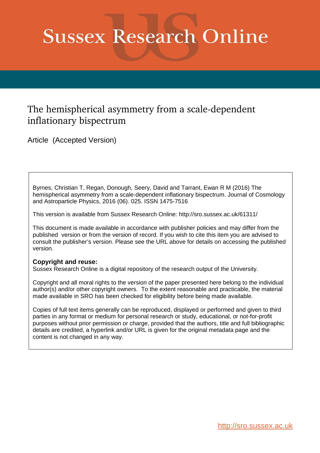# **Sussex Research Online**

### The hemispherical asymmetry from a scale-dependent inflationary bispectrum

Article (Accepted Version)

Byrnes, Christian T, Regan, Donough, Seery, David and Tarrant, Ewan R M (2016) The hemispherical asymmetry from a scale-dependent inflationary bispectrum. Journal of Cosmology and Astroparticle Physics, 2016 (06). 025. ISSN 1475-7516

This version is available from Sussex Research Online: http://sro.sussex.ac.uk/61311/

This document is made available in accordance with publisher policies and may differ from the published version or from the version of record. If you wish to cite this item you are advised to consult the publisher's version. Please see the URL above for details on accessing the published version.

#### **Copyright and reuse:**

Sussex Research Online is a digital repository of the research output of the University.

Copyright and all moral rights to the version of the paper presented here belong to the individual author(s) and/or other copyright owners. To the extent reasonable and practicable, the material made available in SRO has been checked for eligibility before being made available.

Copies of full text items generally can be reproduced, displayed or performed and given to third parties in any format or medium for personal research or study, educational, or not-for-profit purposes without prior permission or charge, provided that the authors, title and full bibliographic details are credited, a hyperlink and/or URL is given for the original metadata page and the content is not changed in any way.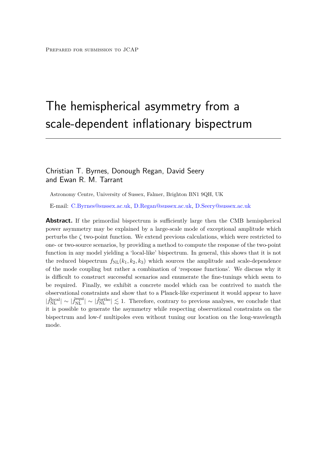## The hemispherical asymmetry from a scale-dependent inflationary bispectrum

#### Christian T. Byrnes, Donough Regan, David Seery and Ewan R. M. Tarrant

Astronomy Centre, University of Sussex, Falmer, Brighton BN1 9QH, UK

E-mail: [C.Byrnes@sussex.ac.uk,](mailto:C.Byrnes@sussex.ac.uk) [D.Regan@sussex.ac.uk,](mailto:D.Regan@sussex.ac.uk) [D.Seery@sussex.ac.uk](mailto:D.Seery@sussex.ac.uk)

<span id="page-1-1"></span><span id="page-1-0"></span>**Abstract.** If the primordial bispectrum is sufficiently large then the CMB hemispherical power asymmetry may be explained by a large-scale mode of exceptional amplitude which perturbs the  $\zeta$  two-point function. We extend previous calculations, which were restricted to one- or two-source scenarios, by providing a method to compute the response of the two-point function in any model yielding a 'local-like' bispectrum. In general, this shows that it is not the reduced bispectrum  $f_{\text{NL}}(k_1, k_2, k_3)$  which sources the amplitude and scale-dependence of the mode coupling but rather a combination of 'response functions'. We discuss why it is difficult to construct successful scenarios and enumerate the fine-tunings which seem to be required. Finally, we exhibit a concrete model which can be contrived to match the observational constraints and show that to a Planck-like experiment it would appear to have  $|\hat{f}_{\text{NL}}^{\text{local}}| \sim |\hat{f}_{\text{NL}}^{\text{ortho}}| \lesssim 1$ . Therefore, contrary to previous analyses, we conclude that it is possible to generate the asymmetry while respecting observational constraints on the bispectrum and low-*ℓ* multipoles even without tuning our location on the long-wavelength mode.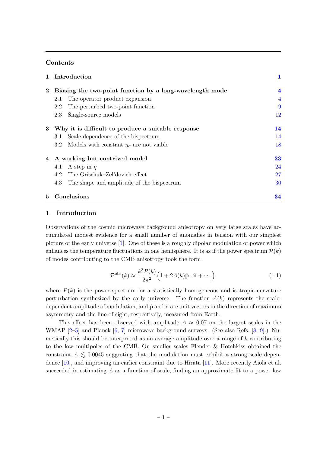#### **Contents**

| $\mathbf{1}$ | Introduction                                                   |                |  |  |  |
|--------------|----------------------------------------------------------------|----------------|--|--|--|
| $\bf{2}$     | Biasing the two-point function by a long-wavelength mode       | $\overline{4}$ |  |  |  |
|              | The operator product expansion<br>2.1                          | $\overline{4}$ |  |  |  |
|              | 2.2<br>The perturbed two-point function                        | 9              |  |  |  |
|              | Single-source models<br>2.3                                    | 12             |  |  |  |
| 3            | Why it is difficult to produce a suitable response             |                |  |  |  |
|              | Scale-dependence of the bispectrum<br>3.1                      | 14             |  |  |  |
|              | Models with constant $\eta_{\sigma}$ are not viable<br>$3.2\,$ | 18             |  |  |  |
| 4            | A working but contrived model                                  | 23             |  |  |  |
|              | A step in $\eta$<br>4.1                                        | 24             |  |  |  |
|              | The Grischuk-Zel'dovich effect<br>4.2                          | 27             |  |  |  |
|              | The shape and amplitude of the bispectrum<br>4.3               | 30             |  |  |  |
| 5            | Conclusions                                                    | 34             |  |  |  |

#### **1 Introduction**

Observations of the cosmic microwave background anisotropy on very large scales have accumulated modest evidence for a small number of anomalies in tension with our simplest picture of the early universe [\[1\]](#page-38-0). One of these is a roughly dipolar modulation of power which enhances the temperature fluctuations in one hemisphere. It is as if the power spectrum  $\mathcal{P}(k)$ of modes contributing to the CMB anisotropy took the form

$$
\mathcal{P}^{\text{obs}}(k) \approx \frac{k^3 P(k)}{2\pi^2} \Big( 1 + 2A(k)\hat{\mathbf{p}} \cdot \hat{\mathbf{n}} + \cdots \Big),\tag{1.1}
$$

where  $P(k)$  is the power spectrum for a statistically homogeneous and isotropic curvature perturbation synthesized by the early universe. The function  $A(k)$  represents the scaledependent amplitude of modulation, and  $\hat{p}$  and  $\hat{n}$  are unit vectors in the direction of maximum asymmetry and the line of sight, respectively, measured from Earth.

<span id="page-2-0"></span>This effect has been observed with amplitude  $A \approx 0.07$  on the largest scales in the WMAP [\[2–](#page-38-1)[5\]](#page-39-0) and Planck [\[6,](#page-39-1) [7\]](#page-39-2) microwave background surveys. (See also Refs. [\[8,](#page-39-3) [9\]](#page-39-4).) Numerically this should be interpreted as an average amplitude over a range of *k* contributing to the low multipoles of the CMB. On smaller scales Flender & Hotchkiss obtained the constraint  $A \leq 0.0045$  suggesting that the modulation must exhibit a strong scale dependence [\[10\]](#page-39-5), and improving an earlier constraint due to Hirata [\[11\]](#page-39-6). More recently Aiola et al. succeeded in estimating *A* as a function of scale, finding an approximate fit to a power law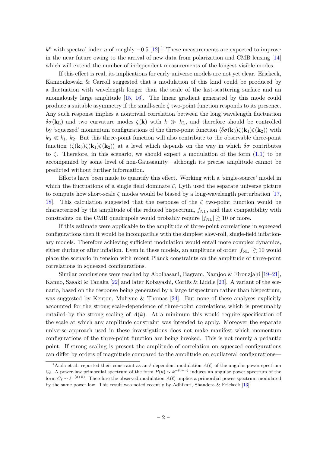$k^n$  with spectral index *n* of roughly  $-0.5$  [\[12\]](#page-39-7).<sup>[1](#page-2-0)</sup> These measurements are expected to improve in the near future owing to the arrival of new data from polarization and CMB lensing [\[14\]](#page-39-8) which will extend the number of independent measurements of the longest visible modes.

If this effect is real, its implications for early universe models are not yet clear. Erickcek, Kamionkowski & Carroll suggested that a modulation of this kind could be produced by a fluctuation with wavelength longer than the scale of the last-scattering surface and an anomalously large amplitude [\[15,](#page-39-9) [16\]](#page-39-10). The linear gradient generated by this mode could produce a suitable asymmetry if the small-scale *ζ* two-point function responds to its presence. Any such response implies a nontrivial correlation between the long wavelength fluctuation *δσ*(**k**L) and two curvature modes *ζ*(**k**) with *k* ≫ *k*L, and therefore should be controlled by 'squeezed' momentum configurations of the three-point function  $\langle \delta \sigma(\mathbf{k}_3) \zeta(\mathbf{k}_1) \zeta(\mathbf{k}_2) \rangle$  with  $k_3 \ll k_1, k_2$ . But this three-point function will also contribute to the observable three-point function  $\langle \zeta(\mathbf{k}_3) \zeta(\mathbf{k}_1) \zeta(\mathbf{k}_2) \rangle$  at a level which depends on the way in which  $\delta \sigma$  contributes to  $\zeta$ . Therefore, in this scenario, we should expect a modulation of the form  $(1.1)$  to be accompanied by some level of non-Gaussianity—although its precise amplitude cannot be predicted without further information.

Efforts have been made to quantify this effect. Working with a 'single-source' model in which the fluctuations of a single field dominate  $\zeta$ , Lyth used the separate universe picture to compute how short-scale *ζ* modes would be biased by a long-wavelength perturbation [\[17,](#page-39-11) [18\]](#page-39-12). This calculation suggested that the response of the  $\zeta$  two-point function would be characterized by the amplitude of the reduced bispectrum,  $f_{\rm NL}$ , and that compatibility with constraints on the CMB quadrupole would probably require  $|f_{\text{NL}}| \gtrsim 10$  or more.

If this estimate were applicable to the amplitude of three-point correlations in squeezed configurations then it would be incompatible with the simplest slow-roll, single-field inflationary models. Therefore achieving sufficient modulation would entail more complex dynamics, either during or after inflation. Even in these models, an amplitude of order  $|f_{\text{NL}}| \gtrsim 10$  would place the scenario in tension with recent Planck constraints on the amplitude of three-point correlations in squeezed configurations.

Similar conclusions were reached by Abolhasani, Bagram, Namjoo & Firouzjahi [\[19](#page-39-13)[–21\]](#page-39-14), Kanno, Sasaki & Tanaka [\[22\]](#page-39-15) and later Kobayashi, Cortês & Liddle [\[23\]](#page-40-0). A variant of the scenario, based on the response being generated by a large trispectrum rather than bispectrum, was suggested by Kenton, Mulryne & Thomas [\[24\]](#page-40-1). But none of these analyses explicitly accounted for the strong scale-dependence of three-point correlations which is presumably entailed by the strong scaling of  $A(k)$ . At a minimum this would require specification of the scale at which any amplitude constraint was intended to apply. Moreover the separate universe approach used in these investigations does not make manifest which momentum configurations of the three-point function are being invoked. This is not merely a pedantic point. If strong scaling is present the amplitude of correlation on squeezed configurations can differ by orders of magnitude compared to the amplitude on equilateral configurations—

<span id="page-3-0"></span><sup>&</sup>lt;sup>1</sup>Aiola et al. reported their constraint as an *ℓ*-dependent modulation  $A(\ell)$  of the angular power spectrum *C*<sup> $ℓ$ </sup>. A power-law primordial spectrum of the form  $P(k) \sim k^{-(3+n)}$  induces an angular power spectrum of the form  $C_{\ell} \sim \ell^{-(2+n)}$ . Therefore the observed modulation  $A(\ell)$  implies a primordial power spectrum modulated by the same power law. This result was noted recently by Adhikari, Shandera & Erickcek [\[13\]](#page-39-16).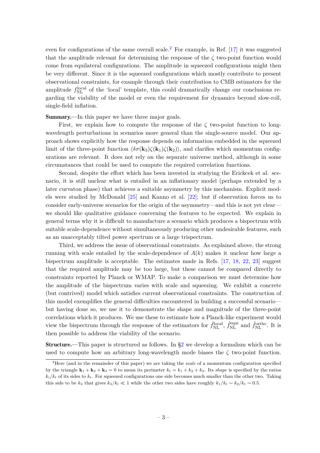even for configurations of the same overall scale.<sup>[2](#page-3-0)</sup> For example, in Ref.  $[17]$  it was suggested that the amplitude relevant for determining the response of the *ζ* two-point function would come from equilateral configurations. The amplitude in squeezed configurations might then be very different. Since it is the squeezed configurations which mostly contribute to present observational constraints, for example through their contribution to CMB estimators for the amplitude  $f_{\text{NL}}^{\text{local}}$  of the 'local' template, this could dramatically change our conclusions regarding the viability of the model or even the requirement for dynamics beyond slow-roll, single-field inflation.

Summary.—In this paper we have three major goals.

First, we explain how to compute the response of the *ζ* two-point function to longwavelength perturbations in scenarios more general than the single-source model. Our approach shows explicitly how the response depends on information embedded in the squeezed limit of the three-point function  $\langle \delta \sigma(\mathbf{k}_3) \zeta(\mathbf{k}_1) \zeta(\mathbf{k}_2) \rangle$ , and clarifies which momentum configurations are relevant. It does not rely on the separate universe method, although in some circumstances that could be used to compute the required correlation functions.

Second, despite the effort which has been invested in studying the Erickcek et al. scenario, it is still unclear what is entailed in an inflationary model (perhaps extended by a later curvaton phase) that achieves a suitable asymmetry by this mechanism. Explicit models were studied by McDonald [\[25\]](#page-40-2) and Kanno et al. [\[22\]](#page-39-15); but if observation forces us to consider early-universe scenarios for the origin of the asymmetry—and this is not yet clear we should like qualitative guidance concerning the features to be expected. We explain in general terms why it is difficult to manufacture a scenario which produces a bispectrum with suitable scale-dependence without simultaneously producing other undesirable features, such as an unacceptably tilted power spectrum or a large trispectrum.

<span id="page-4-0"></span>Third, we address the issue of observational constraints. As explained above, the strong running with scale entailed by the scale-dependence of  $A(k)$  makes it unclear how large a bispectrum amplitude is acceptable. The estimates made in Refs. [\[17,](#page-39-11) [18,](#page-39-12) [22,](#page-39-15) [23\]](#page-40-0) suggest that the required amplitude may be too large, but these cannot be compared directly to constraints reported by Planck or WMAP. To make a comparison we must determine how the amplitude of the bispectrum varies with scale and squeezing. We exhibit a concrete (but contrived) model which satisfies current observational constraints. The construction of this model exemplifies the general difficulties encountered in building a successful scenario but having done so, we use it to demonstrate the shape and magnitude of the three-point correlations which it produces. We use these to estimate how a Planck-like experiment would view the bispectrum through the response of the estimators for  $\hat{f}_{\text{NL}}^{\text{local}}$ ,  $\hat{f}_{\text{NL}}^{\text{equi}}$  and  $\hat{f}_{\text{NL}}^{\text{ortho}}$ . It is then possible to address the viability of the scenario.

<span id="page-4-1"></span>Structure.—This paper is structured as follows. In [§2](#page-4-0) we develop a formalism which can be used to compute how an arbitrary long-wavelength mode biases the  $\zeta$  two-point function.

<sup>2</sup>Here (and in the remainder of this paper) we are taking the *scale* of a momentum configuration specified by the triangle  $\mathbf{k}_1 + \mathbf{k}_2 + \mathbf{k}_3 = 0$  to mean its perimeter  $k_t = k_1 + k_2 + k_3$ . Its *shape* is specified by the ratios  $k_i/k_t$  of its sides to  $k_t$ . For squeezed configurations one side becomes much smaller than the other two. Taking this side to be  $k_3$  that gives  $k_3/k_t \ll 1$  while the other two sides have roughly  $k_1/k_t \sim k_2/k_t \sim 0.5$ .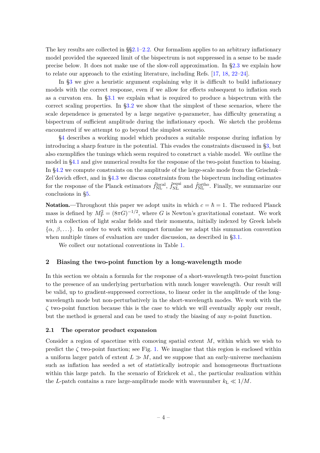<span id="page-5-0"></span>The key results are collected in  $\S$ 2.1[–2.2.](#page-9-0) Our formalism applies to an arbitrary inflationary model provided the squeezed limit of the bispectrum is not suppressed in a sense to be made precise below. It does not make use of the slow-roll approximation. In [§2.3](#page-12-0) we explain how to relate our approach to the existing literature, including Refs. [\[17,](#page-39-11) [18,](#page-39-12) [22–](#page-39-15)[24\]](#page-40-1).

In [§3](#page-14-0) we give a heuristic argument explaining why it is difficult to build inflationary models with the correct response, even if we allow for effects subsequent to inflation such as a curvaton era. In [§3.1](#page-14-1) we explain what is required to produce a bispectrum with the correct scaling properties. In [§3.2](#page-18-0) we show that the simplest of these scenarios, where the scale dependence is generated by a large negative *η*-parameter, has difficulty generating a bispectrum of sufficient amplitude during the inflationary epoch. We sketch the problems encountered if we attempt to go beyond the simplest scenario.

[§4](#page-23-0) describes a working model which produces a suitable response during inflation by introducing a sharp feature in the potential. This evades the constraints discussed in [§3,](#page-14-0) but also exemplifies the tunings which seem required to construct a viable model. We outline the model in [§4.1](#page-24-0) and give numerical results for the response of the two-point function to biasing. In [§4.2](#page-27-0) we compute constraints on the amplitude of the large-scale mode from the Grischuk– Zel'dovich effect, and in [§4.3](#page-30-0) we discuss constraints from the bispectrum including estimates for the response of the Planck estimators  $\hat{f}_{\text{NL}}^{\text{local}}, \hat{f}_{\text{NL}}^{\text{equi}}$  and  $\hat{f}_{\text{NL}}^{\text{ortho}}$ . Finally, we summarize our conclusions in [§5.](#page-34-0)

**Notation.**—Throughout this paper we adopt units in which  $c = \hbar = 1$ . The reduced Planck mass is defined by  $M_P^2 = (8\pi G)^{-1/2}$ , where *G* is Newton's gravitational constant. We work with a collection of light scalar fields and their momenta, initially indexed by Greek labels  $\{\alpha, \beta, \ldots\}$ . In order to work with compact formulae we adapt this summation convention when multiple times of evaluation are under discussion, as described in [§3.1.](#page-14-1)

We collect our notational conventions in Table [1.](#page-5-0)

#### **2 Biasing the two-point function by a long-wavelength mode**

In this section we obtain a formula for the response of a short-wavelength two-point function to the presence of an underlying perturbation with much longer wavelength. Our result will be valid, up to gradient-suppressed corrections, to linear order in the amplitude of the longwavelength mode but non-perturbatively in the short-wavelength modes. We work with the *ζ* two-point function because this is the case to which we will eventually apply our result, but the method is general and can be used to study the biasing of any *n*-point function.

#### **2.1 The operator product expansion**

Consider a region of spacetime with comoving spatial extent *M*, within which we wish to predict the  $\zeta$  two-point function; see Fig. [1.](#page-6-0) We imagine that this region is enclosed within a uniform larger patch of extent  $L \gg M$ , and we suppose that an early-universe mechanism such as inflation has seeded a set of statistically isotropic and homogeneous fluctuations within this large patch. In the scenario of Erickcek et al., the particular realization within the *L*-patch contains a rare large-amplitude mode with wavenumber  $k_L \ll 1/M$ .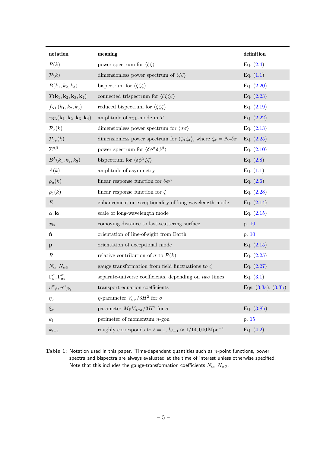<span id="page-6-0"></span>

| notation                                                  | meaning                                                                                                                     | $\operatorname{definition}$ |
|-----------------------------------------------------------|-----------------------------------------------------------------------------------------------------------------------------|-----------------------------|
| P(k)                                                      | power spectrum for $\langle \zeta \zeta \rangle$                                                                            | Eq. $(2.4)$                 |
| $\mathcal{P}(k)$                                          | dimensionless power spectrum of $\langle \zeta \zeta \rangle$                                                               | Eq. $(1.1)$                 |
| $B(k_1, k_2, k_3)$                                        | bispectrum for $\langle \zeta \zeta \zeta \rangle$                                                                          | Eq. $(2.20)$                |
| $T(\mathbf{k}_1,\mathbf{k}_2,\mathbf{k}_3,\mathbf{k}_4)$  | connected trispectrum for $\langle \zeta \zeta \zeta \zeta \rangle$                                                         | Eq. $(2.23)$                |
| $f_{\rm NL}(k_1, k_2, k_3)$                               | reduced bispectrum for $\langle \zeta \zeta \zeta \rangle$                                                                  | Eq. $(2.19)$                |
| $\tau_{\rm NL} ({\bf k}_1,{\bf k}_2,{\bf k}_3,{\bf k}_4)$ | amplitude of $\tau_{\rm NL}\textrm{-}\mathrm{mode}$ in $T$                                                                  | Eq. $(2.22)$                |
| $\mathcal{P}_{\sigma}(k)$                                 | dimensionless power spectrum for $\langle \sigma \sigma \rangle$                                                            | Eq. $(2.13)$                |
| $\mathcal{P}_{\zeta_\sigma}(k)$                           | dimensionless power spectrum for $\langle \zeta_\sigma \zeta_\sigma \rangle,$ where $\zeta_\sigma = N_\sigma \delta \sigma$ | Eq. $(2.25)$                |
| $\Sigma^{\alpha\beta}$                                    | power spectrum for $\langle \delta \phi^{\alpha} \delta \phi^{\beta} \rangle$                                               | Eq. $(2.10)$                |
| $B^{\lambda}(k_1,k_2,k_3)$                                | bispectrum for $\langle \delta \phi^{\lambda} \zeta \zeta \rangle$                                                          | Eq. $(2.8)$                 |
| A(k)                                                      | amplitude of asymmetry                                                                                                      | Eq. $(1.1)$                 |
| $\rho_\mu(k)$                                             | linear response function for $\delta\phi^{\mu}$                                                                             | Eq. $(2.6)$                 |
| $\rho_{\zeta}(k)$                                         | linear response function for $\zeta$                                                                                        | Eq. $(2.28)$                |
| $\boldsymbol{E}$                                          | enhancement or exceptionality of long-wavelength mode                                                                       | Eq. $(2.14)$                |
| $\alpha, {\bf k}_{\rm L}$                                 | scale of long-wavelength mode                                                                                               | Eq. $(2.15)$                |
| $x_{\rm ls}$                                              | comoving distance to last-scattering surface                                                                                | p. 10                       |
| $\hat{\mathbf{n}}$                                        | orientation of line-of-sight from Earth                                                                                     | p. 10                       |
| $\hat{\mathbf{p}}$                                        | orientation of exceptional mode                                                                                             | Eq. $(2.15)$                |
| $\boldsymbol{R}$                                          | relative contribution of $\sigma$ to $\mathcal{P}(k)$                                                                       | Eq. $(2.25)$                |
| $N_{\alpha}$ , $N_{\alpha\beta}$                          | gauge transformation from field fluctuations to $\zeta$                                                                     | Eq. $(2.27)$                |
| $\Gamma_a^{\alpha}, \Gamma_{ab}^{\alpha}$                 | separate-universe coefficients, depending on two times                                                                      | Eq. $(3.1)$                 |
| $u^\alpha{}_\beta, u^\alpha{}_{\beta\gamma}$              | transport equation coefficients                                                                                             | Eqs. $(3.3a)$ , $(3.3b)$    |
| $\eta_\sigma$                                             | $\eta$ -parameter $V_{\sigma\sigma}/3H^2$ for $\sigma$                                                                      |                             |
| $\xi_\sigma$                                              | parameter $M_{\rm P}V_{\sigma\sigma\sigma}/3H^2$ for $\sigma$                                                               | Eq. $(3.8b)$                |
| $k_t$                                                     | perimeter of momentum $n$ -gon                                                                                              | p. 15                       |
| $k_{\ell=1}$                                              | roughly corresponds to $\ell = 1$ , $k_{\ell=1} \approx 1/14,000 \,\mathrm{Mpc}^{-1}$                                       | Eq. $(4.2)$                 |

<span id="page-6-3"></span><span id="page-6-2"></span><span id="page-6-1"></span>**Table 1**: Notation used in this paper. Time-dependent quantities such as *n*-point functions, power spectra and bispectra are always evaluated at the time of interest unless otherwise specified. Note that this includes the gauge-transformation coefficients  $N_\alpha$ ,  $N_{\alpha\beta}$ .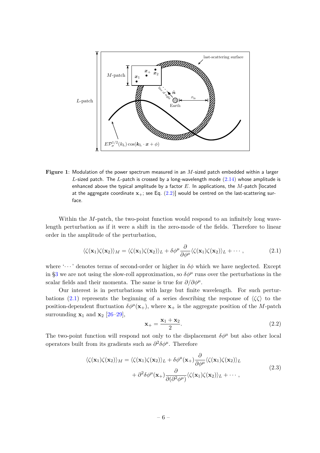

**Figure 1**: Modulation of the power spectrum measured in an *M*-sized patch embedded within a larger *L*-sized patch. The *L*-patch is crossed by a long-wavelength mode [\(2.14\)](#page-10-0) whose amplitude is enhanced above the typical amplitude by a factor *E*. In applications, the *M*-patch [located at the aggregate coordinate  $x_+$ ; see Eq.  $(2.2)$ ] would be centred on the last-scattering surface.

Within the *M*-patch, the two-point function would respond to an infinitely long wavelength perturbation as if it were a shift in the zero-mode of the fields. Therefore to linear order in the amplitude of the perturbation,

<span id="page-7-0"></span>
$$
\langle \zeta(\mathbf{x}_1)\zeta(\mathbf{x}_2) \rangle_M = \langle \zeta(\mathbf{x}_1)\zeta(\mathbf{x}_2) \rangle_L + \delta \phi^\mu \frac{\partial}{\partial \phi^\mu} \langle \zeta(\mathbf{x}_1)\zeta(\mathbf{x}_2) \rangle_L + \cdots,
$$
 (2.1)

where '· · · ' denotes terms of second-order or higher in *δφ* which we have neglected. Except in [§3](#page-14-0) we are not using the slow-roll approximation, so  $\delta\phi^{\mu}$  runs over the perturbations in the scalar fields and their momenta. The same is true for  $\partial/\partial \phi^{\mu}$ .

<span id="page-7-3"></span>Our interest is in perturbations with large but finite wavelength. For such pertur-bations [\(2.1\)](#page-6-2) represents the beginning of a series describing the response of  $\langle \zeta \zeta \rangle$  to the position-dependent fluctuation  $\delta\phi^{\mu}(\mathbf{x}_{+})$ , where  $\mathbf{x}_{+}$  is the aggregate position of the *M*-patch surrounding  $\mathbf{x}_1$  and  $\mathbf{x}_2$  [\[26](#page-40-3)[–29\]](#page-40-4),

<span id="page-7-1"></span>
$$
\mathbf{x}_{+} = \frac{\mathbf{x}_{1} + \mathbf{x}_{2}}{2}.\tag{2.2}
$$

<span id="page-7-2"></span>The two-point function will respond not only to the displacement  $\delta \phi^{\mu}$  but also other local operators built from its gradients such as  $\partial^2 \delta \phi^{\mu}$ . Therefore

$$
\langle \zeta(\mathbf{x}_1)\zeta(\mathbf{x}_2) \rangle_M = \langle \zeta(\mathbf{x}_1)\zeta(\mathbf{x}_2) \rangle_L + \delta \phi^\mu(\mathbf{x}_+) \frac{\partial}{\partial \phi^\mu} \langle \zeta(\mathbf{x}_1)\zeta(\mathbf{x}_2) \rangle_L + \partial^2 \delta \phi^\mu(\mathbf{x}_+) \frac{\partial}{\partial (\partial^2 \phi^\mu)} \langle \zeta(\mathbf{x}_1)\zeta(\mathbf{x}_2) \rangle_L + \cdots,
$$
\n(2.3)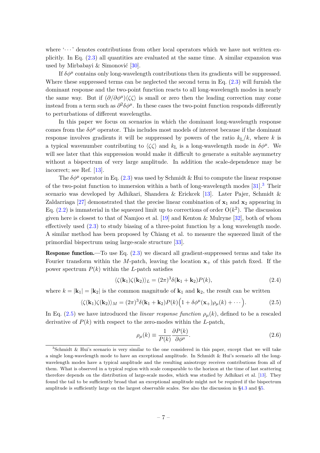where  $\langle \cdots \rangle$  denotes contributions from other local operators which we have not written explicitly. In Eq. [\(2.3\)](#page-6-3) all quantities are evaluated at the same time. A similar expansion was used by Mirbabayi & Simonović [\[30\]](#page-40-5).

If  $\delta\phi^{\mu}$  contains only long-wavelength contributions then its gradients will be suppressed. Where these suppressed terms can be neglected the second term in Eq.  $(2.3)$  will furnish the dominant response and the two-point function reacts to all long-wavelength modes in nearly the same way. But if  $(\partial/\partial \phi^{\mu})\langle \zeta \zeta \rangle$  is small or zero then the leading correction may come instead from a term such as  $\partial^2 \delta \phi^{\mu}$ . In these cases the two-point function responds differently to perturbations of different wavelengths.

In this paper we focus on scenarios in which the dominant long-wavelength response comes from the  $\delta\phi^{\mu}$  operator. This includes most models of interest because if the dominant response involves gradients it will be suppressed by powers of the ratio  $k_L/k$ , where k is a typical wavenumber contributing to  $\langle \zeta \zeta \rangle$  and  $k_L$  is a long-wavelength mode in  $\delta \phi^{\mu}$ . We will see later that this suppression would make it difficult to generate a suitable asymmetry without a bispectrum of very large amplitude. In addition the scale-dependence may be incorrect; see Ref. [\[13\]](#page-39-16).

<span id="page-8-2"></span>The  $\delta\phi^{\mu}$  operator in Eq. [\(2.3\)](#page-6-3) was used by Schmidt & Hui to compute the linear response of the two-point function to immersion within a bath of long-wavelength modes  $[31]^3$  $[31]^3$  $[31]^3$  Their scenario was developed by Adhikari, Shandera & Erickcek [\[13\]](#page-39-16). Later Pajer, Schmidt & Zaldarriaga [\[27\]](#page-40-7) demonstrated that the precise linear combination of  $x_1$  and  $x_2$  appearing in Eq.  $(2.2)$  is immaterial in the squeezed limit up to corrections of order  $O(k^2)$ . The discussion given here is closest to that of Namjoo et al. [\[19\]](#page-39-13) and Kenton & Mulryne [\[32\]](#page-40-8), both of whom effectively used [\(2.3\)](#page-6-3) to study biasing of a three-point function by a long wavelength mode. A similar method has been proposed by Chiang et al. to measure the squeezed limit of the primordial bispectrum using large-scale structure [\[33\]](#page-40-9).

<span id="page-8-1"></span>Response function.—To use Eq. [\(2.3\)](#page-6-3) we discard all gradient-suppressed terms and take its Fourier transform within the *M*-patch, leaving the location  $x_+$  of this patch fixed. If the power spectrum  $P(k)$  within the *L*-patch satisfies

<span id="page-8-3"></span><span id="page-8-0"></span>
$$
\langle \zeta(\mathbf{k}_1)\zeta(\mathbf{k}_2)\rangle_L = (2\pi)^3 \delta(\mathbf{k}_1 + \mathbf{k}_2) P(k),\tag{2.4}
$$

where  $k = |\mathbf{k}_1| = |\mathbf{k}_2|$  is the common magnitude of  $\mathbf{k}_1$  and  $\mathbf{k}_2$ , the result can be written

<span id="page-8-4"></span>
$$
\langle \zeta(\mathbf{k}_1)\zeta(\mathbf{k}_2) \rangle_M = (2\pi)^3 \delta(\mathbf{k}_1 + \mathbf{k}_2) P(k) \Big( 1 + \delta \phi^\mu(\mathbf{x}_+) \rho_\mu(k) + \cdots \Big). \tag{2.5}
$$

In Eq. [\(2.5\)](#page-7-3) we have introduced the *linear response function*  $\rho_\mu(k)$ , defined to be a rescaled derivative of *P*(*k*) with respect to the zero-modes within the *L*-patch,

$$
\rho_{\mu}(k) \equiv \frac{1}{P(k)} \frac{\partial P(k)}{\partial \phi^{\mu}}.
$$
\n(2.6)

<sup>3</sup>Schmidt & Hui's scenario is very similar to the one considered in this paper, except that we will take a single long-wavelength mode to have an exceptional amplitude. In Schmidt & Hui's scenario all the longwavelength modes have a typical amplitude and the resulting anisotropy receives contributions from all of them. What is observed in a typical region with scale comparable to the horizon at the time of last scattering therefore depends on the distribution of large-scale modes, which was studied by Adhikari et al. [\[13\]](#page-39-16). They found the tail to be sufficiently broad that an exceptional amplitude might not be required if the bispectrum amplitude is sufficiently large on the largest observable scales. See also the discussion in [§4.3](#page-30-0) and [§5.](#page-34-0)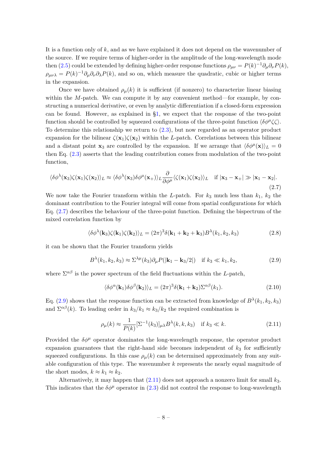It is a function only of *k*, and as we have explained it does not depend on the wavenumber of the source. If we require terms of higher-order in the amplitude of the long-wavelength mode then [\(2.5\)](#page-7-3) could be extended by defining higher-order response functions  $\rho_{\mu\nu} = P(k)^{-1} \partial_{\mu} \partial_{\nu} P(k)$ ,  $\rho_{\mu\nu\lambda} = P(k)^{-1} \partial_{\mu} \partial_{\nu} \partial_{\lambda} P(k)$ , and so on, which measure the quadratic, cubic or higher terms in the expansion.

Once we have obtained  $\rho_\mu(k)$  it is sufficient (if nonzero) to characterize linear biasing within the *M*-patch. We can compute it by any convenient method—for example, by constructing a numerical derivative, or even by analytic differentiation if a closed-form expression can be found. However, as explained in [§1,](#page-1-0) we expect that the response of the two-point function should be controlled by squeezed configurations of the three-point function  $\langle \delta \phi^{\mu} \zeta \zeta \rangle$ . To determine this relationship we return to [\(2.3\)](#page-6-3), but now regarded as an operator product expansion for the bilinear  $\zeta(\mathbf{x}_1)\zeta(\mathbf{x}_2)$  within the *L*-patch. Correlations between this bilinear and a distant point **x**<sub>3</sub> are controlled by the expansion. If we arrange that  $\langle \delta \phi^{\mu}(\mathbf{x}) \rangle_L = 0$ then Eq. [\(2.3\)](#page-6-3) asserts that the leading contribution comes from modulation of the two-point function,

$$
\langle \delta \phi^{\lambda}(\mathbf{x}_3) \zeta(\mathbf{x}_1) \zeta(\mathbf{x}_2) \rangle_L \approx \langle \delta \phi^{\lambda}(\mathbf{x}_3) \delta \phi^{\mu}(\mathbf{x}_+) \rangle_L \frac{\partial}{\partial \phi^{\mu}} \langle \zeta(\mathbf{x}_1) \zeta(\mathbf{x}_2) \rangle_L \quad \text{if } |\mathbf{x}_3 - \mathbf{x}_+| \gg |\mathbf{x}_1 - \mathbf{x}_2|.
$$
\n(2.7)

We now take the Fourier transform within the *L*-patch. For  $k_3$  much less than  $k_1$ ,  $k_2$  the dominant contribution to the Fourier integral will come from spatial configurations for which Eq. [\(2.7\)](#page-8-2) describes the behaviour of the three-point function. Defining the bispectrum of the mixed correlation function by

$$
\langle \delta \phi^{\lambda}(\mathbf{k}_3) \zeta(\mathbf{k}_1) \zeta(\mathbf{k}_2) \rangle_L = (2\pi)^3 \delta(\mathbf{k}_1 + \mathbf{k}_2 + \mathbf{k}_3) B^{\lambda}(k_1, k_2, k_3)
$$
 (2.8)

<span id="page-9-2"></span>it can be shown that the Fourier transform yields

$$
B^{\lambda}(k_1, k_2, k_3) \approx \Sigma^{\lambda \mu}(k_3) \partial_{\mu} P(|\mathbf{k}_1 - \mathbf{k}_3/2|) \quad \text{if } k_3 \ll k_1, k_2,
$$
 (2.9)

where  $\Sigma^{\alpha\beta}$  is the power spectrum of the field fluctuations within the *L*-patch,

$$
\langle \delta \phi^{\alpha}(\mathbf{k}_1) \delta \phi^{\beta}(\mathbf{k}_2) \rangle_L = (2\pi)^3 \delta(\mathbf{k}_1 + \mathbf{k}_2) \Sigma^{\alpha \beta}(k_1).
$$
 (2.10)

<span id="page-9-0"></span>Eq. [\(2.9\)](#page-8-3) shows that the response function can be extracted from knowledge of  $B^{\lambda}(k_1, k_2, k_3)$ and  $\Sigma^{\alpha\beta}(k)$ . To leading order in  $k_3/k_1 \approx k_3/k_2$  the required combination is

<span id="page-9-1"></span>
$$
\rho_{\mu}(k) \approx \frac{1}{P(k)} \left[\Sigma^{-1}(k_3)\right]_{\mu\lambda} B^{\lambda}(k, k, k_3) \quad \text{if } k_3 \ll k. \tag{2.11}
$$

Provided the  $\delta\phi^{\mu}$  operator dominates the long-wavelength response, the operator product expansion guarantees that the right-hand side becomes independent of  $k<sub>3</sub>$  for sufficiently squeezed configurations. In this case  $\rho_\mu(k)$  can be determined approximately from any suitable configuration of this type. The wavenumber *k* represents the nearly equal magnitude of the short modes,  $k \approx k_1 \approx k_2$ .

Alternatively, it may happen that [\(2.11\)](#page-8-4) does not approach a nonzero limit for small *k*3. This indicates that the  $\delta\phi^{\mu}$  operator in [\(2.3\)](#page-6-3) did not control the response to long-wavelength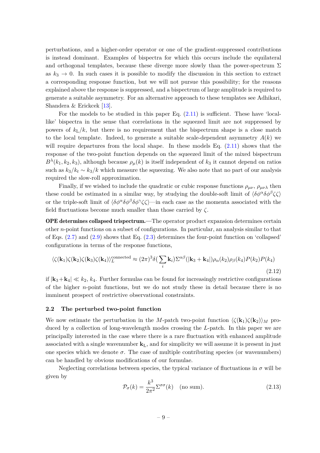<span id="page-10-0"></span>perturbations, and a higher-order operator or one of the gradient-suppressed contributions is instead dominant. Examples of bispectra for which this occurs include the equilateral and orthogonal templates, because these diverge more slowly than the power-spectrum  $\Sigma$ as  $k_3 \to 0$ . In such cases it is possible to modify the discussion in this section to extract a corresponding response function, but we will not pursue this possibility; for the reasons explained above the response is suppressed, and a bispectrum of large amplitude is required to generate a suitable asymmetry. For an alternative approach to these templates see Adhikari, Shandera & Erickcek [\[13\]](#page-39-16).

For the models to be studied in this paper Eq.  $(2.11)$  is sufficient. These have 'locallike' bispectra in the sense that correlations in the squeezed limit are not suppressed by powers of  $k_{\rm L}/k$ , but there is no requirement that the bispectrum shape is a close match to the local template. Indeed, to generate a suitable scale-dependent asymmetry  $A(k)$  we will require departures from the local shape. In these models Eq.  $(2.11)$  shows that the response of the two-point function depends on the squeezed limit of the mixed bispectrum  $B^{\lambda}(k_1, k_2, k_3)$ , although because  $\rho_{\mu}(k)$  is itself independent of  $k_3$  it cannot depend on ratios such as  $k_3/k_t \sim k_3/k$  which measure the squeezing. We also note that no part of our analysis required the slow-roll approximation.

Finally, if we wished to include the quadratic or cubic response functions  $\rho_{\mu\nu}$ ,  $\rho_{\mu\nu\lambda}$  then these could be estimated in a similar way, by studying the double-soft limit of  $\langle \delta \phi^{\alpha} \delta \phi^{\beta} \zeta \zeta \rangle$ or the triple-soft limit of  $\langle \delta \phi^{\alpha} \delta \phi^{\beta} \delta \phi^{\gamma} \zeta \zeta \rangle$ —in each case as the momenta associated with the field fluctuations become much smaller than those carried by *ζ*.

OPE determines collapsed trispectrum.—The operator product expansion determines certain other *n*-point functions on a subset of configurations. In particular, an analysis similar to that of Eqs.  $(2.7)$  and  $(2.9)$  shows that Eq.  $(2.3)$  determines the four-point function on 'collapsed' configurations in terms of the response functions,

<span id="page-10-1"></span>
$$
\langle \zeta(\mathbf{k}_1)\zeta(\mathbf{k}_2)\zeta(\mathbf{k}_3)\zeta(\mathbf{k}_4)\rangle_L^{\text{connected}} \approx (2\pi)^3 \delta\left(\sum_i \mathbf{k}_i\right) \Sigma^{\alpha\beta}(|\mathbf{k}_3 + \mathbf{k}_4|) \rho_\alpha(k_2) \rho_\beta(k_4) P(k_2) P(k_4)
$$
\n(2.12)

if  $|\mathbf{k}_3+\mathbf{k}_4| \ll k_2$ ,  $k_4$ . Further formulas can be found for increasingly restrictive configurations of the higher *n*-point functions, but we do not study these in detail because there is no imminent prospect of restrictive observational constraints.

#### <span id="page-10-2"></span>**2.2 The perturbed two-point function**

We now estimate the perturbation in the *M*-patch two-point function  $\langle \zeta(\mathbf{k}_1)\zeta(\mathbf{k}_2)\rangle_M$  produced by a collection of long-wavelength modes crossing the *L*-patch. In this paper we are principally interested in the case where there is a rare fluctuation with enhanced amplitude associated with a single wavenumber  $\mathbf{k}_L$ , and for simplicity we will assume it is present in just one species which we denote  $\sigma$ . The case of multiple contributing species (or wavenumbers) can be handled by obvious modifications of our formulae.

Neglecting correlations between species, the typical variance of fluctuations in  $\sigma$  will be given by

<span id="page-10-4"></span><span id="page-10-3"></span>
$$
\mathcal{P}_{\sigma}(k) = \frac{k^3}{2\pi^2} \Sigma^{\sigma\sigma}(k) \quad \text{(no sum)}.
$$
\n(2.13)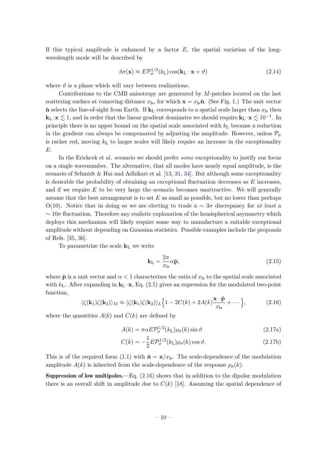If this typical amplitude is enhanced by a factor *E*, the spatial variation of the longwavelength mode will be described by

<span id="page-11-4"></span>
$$
\delta\sigma(\mathbf{x}) \approx E \mathcal{P}_{\sigma}^{1/2}(k_{\mathrm{L}}) \cos(\mathbf{k}_{\mathrm{L}} \cdot \mathbf{x} + \vartheta)
$$
\n(2.14)

where  $\vartheta$  is a phase which will vary between realizations.

Contributions to the CMB anisotropy are generated by *M*-patches located on the last scattering surface at comoving distance  $x_{\text{ls}}$ , for which  $\mathbf{x} = x_{\text{ls}}\hat{\mathbf{n}}$ . (See Fig. [1.](#page-6-0)) The unit vector  $\hat{\mathbf{n}}$  selects the line-of-sight from Earth. If  $\mathbf{k}_L$  corresponds to a spatial scale larger than  $x_{ls}$  then  $\mathbf{k}_L \cdot \mathbf{x} \lesssim 1$ , and in order that the linear gradient dominates we should require  $\mathbf{k}_L \cdot \mathbf{x} \lesssim 10^{-1}$ . In principle there is no upper bound on the spatial scale associated with  $k<sub>L</sub>$  because a reduction in the gradient can always be compensated by adjusting the amplitude. However, unless  $\mathcal{P}_{\sigma}$ is rather red, moving  $k<sub>L</sub>$  to larger scales will likely require an increase in the exceptionality *E*.

In the Erickcek et al. scenario we should prefer *some* exceptionality to justify our focus on a single wavenumber. The alternative, that all modes have nearly equal amplitude, is the scenario of Schmidt & Hui and Adhikari et al.  $[13, 31, 34]$  $[13, 31, 34]$  $[13, 31, 34]$  $[13, 31, 34]$ . But although some exceptionality is desirable the probability of obtaining an exceptional fluctuation decreases as *E* increases, and if we require *E* to be very large the scenario becomes unattractive. We will generally assume that the best arrangement is to set *E* as small as possible, but no lower than perhaps O(10). Notice that in doing so we are electing to trade a ∼ 3*σ* discrepancy for *at least* a ∼ 10*σ* fluctuation. Therefore any realistic explanation of the hemispherical asymmetry which deploys this mechanism will likely require some way to manufacture a suitable exceptional amplitude without depending on Gaussian statistics. Possible examples include the proposals of Refs. [\[35,](#page-40-11) [36\]](#page-40-12).

<span id="page-11-2"></span>To parametrize the scale **k**<sup>L</sup> we write

$$
\mathbf{k}_{\mathrm{L}} = \frac{2\pi}{x_{\mathrm{ls}}} \alpha \hat{\mathbf{p}},\tag{2.15}
$$

where  $\hat{\mathbf{p}}$  is a unit vector and  $\alpha < 1$  characterizes the ratio of  $x_{\text{ls}}$  to the spatial scale associated with  $k_{\text{L}}$ . After expanding in  $\mathbf{k}_{\text{L}} \cdot \mathbf{x}$ , Eq. [\(2.5\)](#page-7-3) gives an expression for the modulated two-point function,

<span id="page-11-0"></span>
$$
\langle \zeta(\mathbf{k}_1)\zeta(\mathbf{k}_2) \rangle_M \approx \langle \zeta(\mathbf{k}_1)\zeta(\mathbf{k}_2) \rangle_L \Big\{ 1 - 2C(k) + 2A(k)\frac{\mathbf{x} \cdot \hat{\mathbf{p}}}{x_{\rm ls}} + \cdots \Big\},\tag{2.16}
$$

<span id="page-11-3"></span>where the quantities  $A(k)$  and  $C(k)$  are defined by

<span id="page-11-5"></span>
$$
A(k) = \pi \alpha E \mathcal{P}_{\sigma}^{1/2}(k_{\mathrm{L}}) \rho_{\sigma}(k) \sin \vartheta \qquad (2.17a)
$$

$$
C(k) = -\frac{1}{2} E \mathcal{P}_{\sigma}^{1/2}(k_{\mathrm{L}}) \rho_{\sigma}(k) \cos \vartheta.
$$
 (2.17b)

<span id="page-11-1"></span>This is of the required form [\(1.1\)](#page-1-1) with  $\hat{\mathbf{n}} = \mathbf{x}/x_{\text{ls}}$ . The scale-dependence of the modulation amplitude  $A(k)$  is inherited from the scale-dependence of the response  $\rho_{\sigma}(k)$ .

Suppression of low multipoles.—Eq. [\(2.16\)](#page-10-2) shows that in addition to the dipolar modulation there is an overall shift in amplitude due to  $C(k)$  [\[18\]](#page-39-12). Assuming the spatial dependence of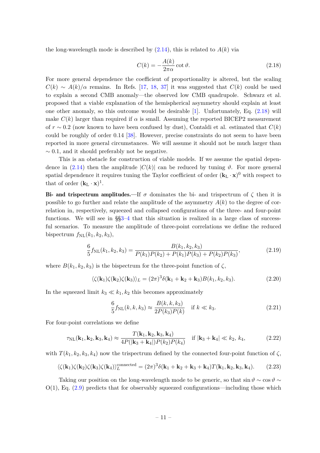the long-wavelength mode is described by  $(2.14)$ , this is related to  $A(k)$  via

<span id="page-12-1"></span>
$$
C(k) = -\frac{A(k)}{2\pi\alpha}\cot\vartheta.
$$
 (2.18)

<span id="page-12-2"></span>For more general dependence the coefficient of proportionality is altered, but the scaling  $C(k) \sim A(k)/\alpha$  remains. In Refs. [\[17,](#page-39-11) [18,](#page-39-12) [37\]](#page-40-13) it was suggested that  $C(k)$  could be used to explain a second CMB anomaly—the observed low CMB quadrupole. Schwarz et al. proposed that a viable explanation of the hemispherical asymmetry should explain at least one other anomaly, so this outcome would be desirable [\[1\]](#page-38-0). Unfortunately, Eq. [\(2.18\)](#page-11-4) will make  $C(k)$  larger than required if  $\alpha$  is small. Assuming the reported BICEP2 measurement of  $r \sim 0.2$  (now known to have been confused by dust), Contaldi et al. estimated that  $C(k)$ could be roughly of order 0*.*14 [\[38\]](#page-40-14). However, precise constraints do not seem to have been reported in more general circumstances. We will assume it should not be much larger than ∼ 0*.*1, and it should preferably not be negative.

<span id="page-12-3"></span>This is an obstacle for construction of viable models. If we assume the spatial dependence in  $(2.14)$  then the amplitude  $|C(k)|$  can be reduced by tuning  $\vartheta$ . For more general spatial dependence it requires tuning the Taylor coefficient of order  $(\mathbf{k}_L \cdot \mathbf{x})^0$  with respect to that of order  $(\mathbf{k}_L \cdot \mathbf{x})^1$ .

Bi- and trispectrum amplitudes.—If  $\sigma$  dominates the bi- and trispectrum of  $\zeta$  then it is possible to go further and relate the amplitude of the asymmetry  $A(k)$  to the degree of correlation in, respectively, squeezed and collapsed configurations of the three- and four-point functions. We will see in §[§3](#page-14-0)[–4](#page-23-0) that this situation is realized in a large class of successful scenarios. To measure the amplitude of three-point correlations we define the reduced bispectrum  $f_{\text{NL}}(k_1, k_2, k_3)$ ,

$$
\frac{6}{5}f_{\rm NL}(k_1, k_2, k_3) = \frac{B(k_1, k_2, k_3)}{P(k_1)P(k_2) + P(k_1)P(k_3) + P(k_2)P(k_3)},\tag{2.19}
$$

<span id="page-12-0"></span>where  $B(k_1, k_2, k_3)$  is the bispectrum for the three-point function of  $\zeta$ ,

$$
\langle \zeta(\mathbf{k}_1)\zeta(\mathbf{k}_2)\zeta(\mathbf{k}_3)\rangle_L = (2\pi)^3 \delta(\mathbf{k}_1 + \mathbf{k}_2 + \mathbf{k}_3) B(k_1, k_2, k_3). \tag{2.20}
$$

In the squeezed limit  $k_3 \ll k_1, k_2$  this becomes approximately

$$
\frac{6}{5}f_{\rm NL}(k,k,k_3) \approx \frac{B(k,k,k_3)}{2P(k_3)P(k)} \quad \text{if } k \ll k_3. \tag{2.21}
$$

For four-point correlations we define

$$
\tau_{\rm NL}(\mathbf{k}_1, \mathbf{k}_2, \mathbf{k}_3, \mathbf{k}_4) \approx \frac{T(\mathbf{k}_1, \mathbf{k}_2, \mathbf{k}_3, \mathbf{k}_4)}{4P(|\mathbf{k}_3 + \mathbf{k}_4|)P(k_2)P(k_4)} \quad \text{if } |\mathbf{k}_3 + \mathbf{k}_4| \ll k_2, k_4,
$$
 (2.22)

with  $T(k_1, k_2, k_3, k_4)$  now the trispectrum defined by the connected four-point function of  $\zeta$ ,

$$
\langle \zeta(\mathbf{k}_1)\zeta(\mathbf{k}_2)\zeta(\mathbf{k}_3)\zeta(\mathbf{k}_4)\rangle_L^{\text{connected}} = (2\pi)^3 \delta(\mathbf{k}_1 + \mathbf{k}_2 + \mathbf{k}_3 + \mathbf{k}_4) T(\mathbf{k}_1, \mathbf{k}_2, \mathbf{k}_3, \mathbf{k}_4). \tag{2.23}
$$

<span id="page-12-4"></span>Taking our position on the long-wavelength mode to be generic, so that  $\sin \theta \sim \cos \theta \sim$  $O(1)$ , Eq.  $(2.9)$  predicts that for observably squeezed configurations—including those which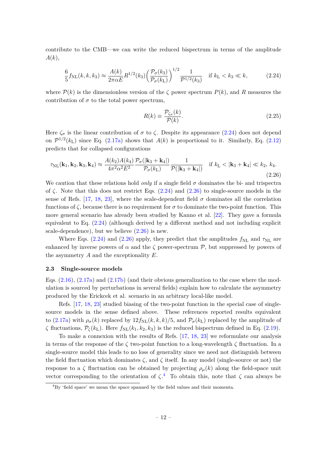contribute to the CMB—we can write the reduced bispectrum in terms of the amplitude *A*(*k*),

<span id="page-13-1"></span>
$$
\frac{6}{5}f_{\rm NL}(k,k,k_3) \approx \frac{A(k)}{2\pi\alpha E} R^{1/2}(k_3) \left(\frac{\mathcal{P}_\sigma(k_3)}{\mathcal{P}_\sigma(k_{\rm L})}\right)^{1/2} \frac{1}{\mathcal{P}^{1/2}(k_3)} \quad \text{if } k_{\rm L} < k_3 \ll k,\tag{2.24}
$$

where  $P(k)$  is the dimensionless version of the *ζ* power spectrum  $P(k)$ , and *R* measures the contribution of  $\sigma$  to the total power spectrum,

$$
R(k) \equiv \frac{\mathcal{P}_{\zeta_{\sigma}}(k)}{\mathcal{P}(k)}.\tag{2.25}
$$

Here  $\zeta_{\sigma}$  is the linear contribution of  $\sigma$  to  $\zeta$ . Despite its appearance [\(2.24\)](#page-12-2) does not depend on  $\mathcal{P}^{1/2}(k_{\text{L}})$  since Eq. [\(2.17a\)](#page-10-3) shows that  $A(k)$  is proportional to it. Similarly, Eq. [\(2.12\)](#page-9-2) predicts that for collapsed configurations

<span id="page-13-0"></span>
$$
\tau_{\rm NL}(\mathbf{k}_1, \mathbf{k}_2, \mathbf{k}_3, \mathbf{k}_4) \approx \frac{A(k_2)A(k_4)}{4\pi^2 \alpha^2 E^2} \frac{\mathcal{P}_{\sigma}(|\mathbf{k}_3 + \mathbf{k}_4|)}{\mathcal{P}_{\sigma}(k_{\rm L})} \frac{1}{\mathcal{P}(|\mathbf{k}_3 + \mathbf{k}_4|)} \quad \text{if } k_{\rm L} < |\mathbf{k}_3 + \mathbf{k}_4| \ll k_2, \, k_4. \tag{2.26}
$$

We caution that these relations hold *only* if a single field  $\sigma$  dominates the bi- and trispectra of  $\zeta$ . Note that this does not restrict Eqs. [\(2.24\)](#page-12-2) and [\(2.26\)](#page-12-3) to single-source models in the sense of Refs. [\[17,](#page-39-11) [18,](#page-39-12) [23\]](#page-40-0), where the scale-dependent field  $\sigma$  dominates all the correlation functions of  $\zeta$ , because there is no requirement for  $\sigma$  to dominate the two-point function. This more general scenario has already been studied by Kanno et al. [\[22\]](#page-39-15). They gave a formula equivalent to Eq. [\(2.24\)](#page-12-2) (although derived by a different method and not including explicit scale-dependence), but we believe [\(2.26\)](#page-12-3) is new.

Where Eqs. [\(2.24\)](#page-12-2) and [\(2.26\)](#page-12-3) apply, they predict that the amplitudes  $f_{NL}$  and  $\tau_{NL}$  are enhanced by inverse powers of  $\alpha$  and the  $\zeta$  power-spectrum  $\mathcal{P}$ , but suppressed by powers of the asymmetry *A* and the exceptionality *E*.

#### **2.3 Single-source models**

<span id="page-13-2"></span>Eqs.  $(2.16)$ ,  $(2.17a)$  and  $(2.17b)$  (and their obvious generalization to the case where the modulation is sourced by perturbations in several fields) explain how to calculate the asymmetry produced by the Erickcek et al. scenario in an arbitrary local-like model.

Refs. [\[17,](#page-39-11) [18,](#page-39-12) [23\]](#page-40-0) studied biasing of the two-point function in the special case of singlesource models in the sense defined above. These references reported results equivalent to [\(2.17a\)](#page-10-3) with  $\rho_{\sigma}(k)$  replaced by  $12 f_{\text{NL}}(k, k, k)/5$ , and  $\mathcal{P}_{\sigma}(k)$  replaced by the amplitude of *ζ* fluctuations,  $P_\mathcal{C}(k_\text{L})$ . Here  $f_{\text{NL}}(k_1, k_2, k_3)$  is the reduced bispectrum defined in Eq. [\(2.19\)](#page-11-2).

To make a connexion with the results of Refs. [\[17,](#page-39-11) [18,](#page-39-12) [23\]](#page-40-0) we reformulate our analysis in terms of the response of the  $\zeta$  two-point function to a long-wavelength  $\zeta$  fluctuation. In a single-source model this leads to no loss of generality since we need not distinguish between the field fluctuation which dominates  $\zeta$ , and  $\zeta$  itself. In any model (single-source or not) the response to a  $\zeta$  fluctuation can be obtained by projecting  $\rho$ <sub>*µ*</sub>(*k*) along the field-space unit vector corresponding to the orientation of  $\zeta$ <sup>[4](#page-12-4)</sup>. To obtain this, note that  $\zeta$  can always be

<sup>4</sup>By 'field space' we mean the space spanned by the field values and their momenta.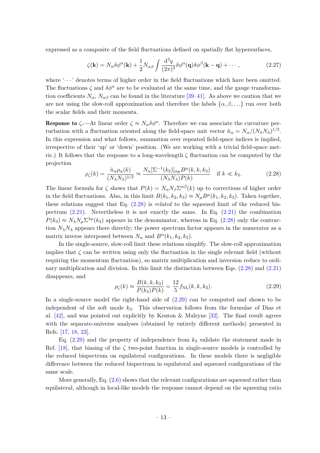expressed as a composite of the field fluctuations defined on spatially flat hypersurfaces,

$$
\zeta(\mathbf{k}) = N_{\alpha}\delta\phi^{\alpha}(\mathbf{k}) + \frac{1}{2}N_{\alpha\beta}\int \frac{\mathrm{d}^{3}q}{(2\pi)^{3}}\delta\phi^{\alpha}(\mathbf{q})\delta\phi^{\beta}(\mathbf{k}-\mathbf{q}) + \cdots, \qquad (2.27)
$$

where  $\langle \cdots \rangle$  denotes terms of higher order in the field fluctuations which have been omitted. The fluctuations  $\zeta$  and  $\delta\phi^{\alpha}$  are to be evaluated at the same time, and the gauge transformation coefficients  $N_{\alpha}$ ,  $N_{\alpha\beta}$  can be found in the literature [\[39](#page-40-15)[–41\]](#page-40-16). As above we caution that we are not using the slow-roll approximation and therefore the labels  $\{\alpha, \beta, ...\}$  run over both the scalar fields and their momenta.

<span id="page-14-0"></span>**Response to**  $\zeta$ —At linear order  $\zeta \approx N_\alpha \delta \phi^\alpha$ . Therefore we can associate the curvature perturbation with a fluctuation oriented along the field-space unit vector  $\hat{n}_{\alpha} = N_{\alpha}/(N_{\lambda}N_{\lambda})^{1/2}$ . In this expression and what follows, summation over repeated field-space indices is implied, irrespective of their 'up' or 'down' position. (We are working with a trivial field-space metric.) It follows that the response to a long-wavelength *ζ* fluctuation can be computed by the projection

$$
\rho_{\zeta}(k) = \frac{\hat{n}_{\alpha}\rho_{\alpha}(k)}{(N_{\lambda}N_{\lambda})^{1/2}} \approx \frac{N_{\alpha}[\Sigma^{-1}(k_3)]_{\alpha\mu}B^{\mu}(k,k,k_3)}{(N_{\lambda}N_{\lambda})P(k)} \quad \text{if } k \ll k_3.
$$
 (2.28)

<span id="page-14-1"></span>The linear formula for  $\zeta$  shows that  $P(k) = N_{\alpha}N_{\beta}\Sigma^{\alpha\beta}(k)$  up to corrections of higher order in the field fluctuations. Also, in this limit  $B(k_1, k_2, k_3) \approx N_{\mu}B^{\mu}(k_1, k_2, k_3)$ . Taken together, these relations suggest that Eq. [\(2.28\)](#page-13-0) is *related* to the squeezed limit of the reduced bispectrum [\(2.21\)](#page-11-5). Nevertheless it is not exactly the same. In Eq. [\(2.21\)](#page-11-5) the combination  $P(k_3) \approx N_\lambda N_\mu \Sigma^{\lambda \mu}(k_3)$  appears in the denominator, whereas in Eq. [\(2.28\)](#page-13-0) only the contraction  $N_{\lambda}N_{\lambda}$  appears there directly; the power spectrum factor appears in the numerator as a matrix inverse interposed between  $N_\alpha$  and  $B^\alpha(k_1, k_2, k_3)$ .

<span id="page-14-2"></span>In the single-source, slow-roll limit these relations simplify. The slow-roll approximation implies that  $\zeta$  can be written using only the fluctuation in the single relevant field (without requiring the momentum fluctuation), so matrix multiplication and inversion reduce to ordinary multiplication and division. In this limit the distinction between Eqs. [\(2.28\)](#page-13-0) and [\(2.21\)](#page-11-5) disappears, and

<span id="page-14-4"></span><span id="page-14-3"></span>
$$
\rho_{\zeta}(k) \approx \frac{B(k, k, k_3)}{P(k_3)P(k)} = \frac{12}{5} f_{\rm NL}(k, k, k_3).
$$
\n(2.29)

In a single-source model the right-hand side of  $(2.29)$  can be computed and shown to be independent of the soft mode *k*3. This observation follows from the formulae of Dias et al. [\[42\]](#page-41-0), and was pointed out explicitly by Kenton & Mulryne [\[32\]](#page-40-8). The final result agrees with the separate-universe analyses (obtained by entirely different methods) presented in Refs. [\[17,](#page-39-11) [18,](#page-39-12) [23\]](#page-40-0).

Eq. [\(2.29\)](#page-13-2) and the property of independence from *k*<sup>3</sup> validate the statement made in Ref. [\[18\]](#page-39-12), that biasing of the  $\zeta$  two-point function in single-source models is controlled by the reduced bispectrum on equilateral configurations. In these models there is negligible difference between the reduced bispectrum in equilateral and squeezed configurations of the same scale.

More generally, Eq.  $(2.6)$  shows that the relevant configurations are squeezed rather than equilateral, although in local-like models the response cannot depend on the squeezing ratio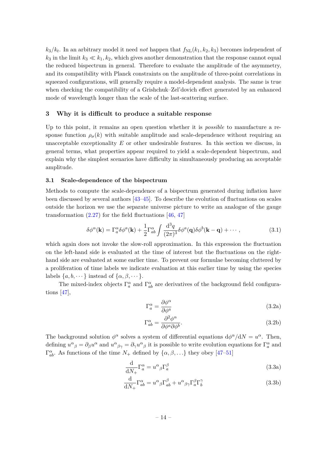<span id="page-15-4"></span><span id="page-15-3"></span> $k_3/k_t$ . In an arbitrary model it need *not* happen that  $f_{\rm NL}(k_1, k_2, k_3)$  becomes independent of  $k_3$  in the limit  $k_3 \ll k_1, k_2$ , which gives another demonstration that the response cannot equal the reduced bispectrum in general. Therefore to evaluate the amplitude of the asymmetry, and its compatibility with Planck constraints on the amplitude of three-point correlations in squeezed configurations, will generally require a model-dependent analysis. The same is true when checking the compatibility of a Grishchuk–Zel'dovich effect generated by an enhanced mode of wavelength longer than the scale of the last-scattering surface.

#### **3 Why it is difficult to produce a suitable response**

<span id="page-15-2"></span>Up to this point, it remains an open question whether it is *possible* to manufacture a response function  $\rho_{\sigma}(k)$  with suitable amplitude and scale-dependence without requiring an unacceptable exceptionality *E* or other undesirable features. In this section we discuss, in general terms, what properties appear required to yield a scale-dependent bispectrum, and explain why the simplest scenarios have difficulty in simultaneously producing an acceptable amplitude.

#### <span id="page-15-0"></span>**3.1 Scale-dependence of the bispectrum**

Methods to compute the scale-dependence of a bispectrum generated during inflation have been discussed by several authors [\[43–](#page-41-1)[45\]](#page-41-2). To describe the evolution of fluctuations on scales outside the horizon we use the separate universe picture to write an analogue of the gauge transformation  $(2.27)$  for the field fluctuations [\[46,](#page-41-3) [47\]](#page-41-4)

$$
\delta\phi^{\alpha}(\mathbf{k}) = \Gamma_{a}^{\alpha}\delta\phi^{a}(\mathbf{k}) + \frac{1}{2}\Gamma_{ab}^{\alpha}\int \frac{\mathrm{d}^{3}q}{(2\pi)^{3}}\delta\phi^{a}(\mathbf{q})\delta\phi^{b}(\mathbf{k}-\mathbf{q}) + \cdots, \qquad (3.1)
$$

which again does not invoke the slow-roll approximation. In this expression the fluctuation on the left-hand side is evaluated at the time of interest but the fluctuations on the righthand side are evaluated at some earlier time. To prevent our formulae becoming cluttered by a proliferation of time labels we indicate evaluation at this earlier time by using the species labels  $\{a, b, \dots\}$  instead of  $\{\alpha, \beta, \dots\}.$ 

The mixed-index objects  $\Gamma_a^{\alpha}$  and  $\Gamma_{ab}^{\alpha}$  are derivatives of the background field configurations [\[47\]](#page-41-4),

$$
\Gamma_a^{\alpha} = \frac{\partial \phi^{\alpha}}{\partial \phi^a} \tag{3.2a}
$$

$$
\Gamma^{\alpha}_{ab} = \frac{\partial^2 \phi^{\alpha}}{\partial \phi^a \partial \phi^b}.
$$
\n(3.2b)

<span id="page-15-1"></span>The background solution  $\phi^{\alpha}$  solves a system of differential equations  $d\phi^{\alpha}/dN = u^{\alpha}$ . Then, defining  $u^{\alpha}{}_{\beta} = \partial_{\beta}u^{\alpha}$  and  $u^{\alpha}{}_{\beta\gamma} = \partial_{\gamma}u^{\alpha}{}_{\beta}$  it is possible to write evolution equations for  $\Gamma^{\alpha}_{a}$  and  $\Gamma^{\alpha}_{ab}$ . As functions of the time  $N_+$  defined by  $\{\alpha, \beta, \ldots\}$  they obey [\[47](#page-41-4)[–51\]](#page-41-5)

$$
\frac{\mathrm{d}}{\mathrm{d}N_+} \Gamma_a^{\alpha} = u^{\alpha}{}_{\beta} \Gamma_a^{\beta} \tag{3.3a}
$$

$$
\frac{\mathrm{d}}{\mathrm{d}N_+} \Gamma^{\alpha}_{ab} = u^{\alpha}{}_{\beta} \Gamma^{\beta}_{ab} + u^{\alpha}{}_{\beta\gamma} \Gamma^{\beta}_{a} \Gamma^{\gamma}_{b} \tag{3.3b}
$$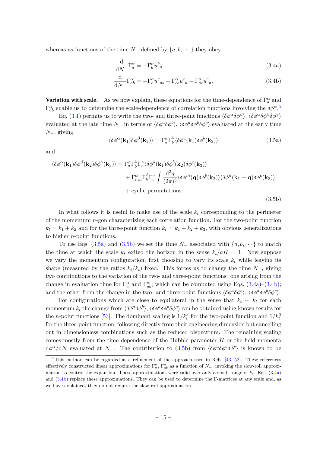whereas as functions of the time *N*− defined by  $\{a, b, \dots\}$  they obey

$$
\frac{\mathrm{d}}{\mathrm{d}N_{-}}\Gamma_{a}^{\alpha} = -\Gamma_{b}^{\alpha}u^{b}{}_{a}
$$
\n(3.4a)

$$
\frac{\mathrm{d}}{\mathrm{d}N_-} \Gamma^{\alpha}_{ab} = -\Gamma^{\alpha}_{c} u^c{}_{ab} - \Gamma^{\alpha}_{cb} u^c{}_{a} - \Gamma^{\alpha}_{ac} u^c{}_{a}. \tag{3.4b}
$$

**Variation with scale.**—As we now explain, these equations for the time-dependence of  $\Gamma_a^{\alpha}$  and  $\Gamma^{\alpha}_{ab}$  enable us to determine the scale-dependence of correlation functions involving the  $\delta\phi^{\alpha}$ .<sup>[5](#page-15-1)</sup>

Eq. [\(3.1\)](#page-14-2) permits us to write the two- and three-point functions  $\langle \delta \phi^{\alpha} \delta \phi^{\beta} \rangle$ ,  $\langle \delta \phi^{\alpha} \delta \phi^{\beta} \delta \phi^{\gamma} \rangle$ evaluated at the late time  $N_+$  in terms of  $\langle \delta \phi^a \delta \phi^b \rangle$ ,  $\langle \delta \phi^a \delta \phi^b \delta \phi^c \rangle$  evaluated at the early time *N*−, giving

<span id="page-16-1"></span><span id="page-16-0"></span>
$$
\langle \delta \phi^{\alpha}(\mathbf{k}_1) \delta \phi^{\beta}(\mathbf{k}_2) \rangle = \Gamma^{\alpha}_{a} \Gamma^{\beta}_{b} \langle \delta \phi^{\alpha}(\mathbf{k}_1) \delta \phi^b(\mathbf{k}_2) \rangle \tag{3.5a}
$$

and

$$
\langle \delta \phi^{\alpha}(\mathbf{k}_{1}) \delta \phi^{\beta}(\mathbf{k}_{2}) \delta \phi^{\gamma}(\mathbf{k}_{3}) \rangle = \Gamma_{a}^{\alpha} \Gamma_{b}^{\beta} \Gamma_{c}^{\gamma} \langle \delta \phi^{a}(\mathbf{k}_{1}) \delta \phi^{b}(\mathbf{k}_{2}) \delta \phi^{c}(\mathbf{k}_{3}) \rangle + \Gamma_{mn}^{\alpha} \Gamma_{b}^{\beta} \Gamma_{c}^{\gamma} \int \frac{\mathrm{d}^{3} q}{(2\pi)^{3}} \langle \delta \phi^{m}(\mathbf{q}) \delta \phi^{b}(\mathbf{k}_{2}) \rangle \langle \delta \phi^{n}(\mathbf{k}_{1} - \mathbf{q}) \delta \phi^{c}(\mathbf{k}_{3}) \rangle + \text{cyclic permutations.}
$$
\n(3.5b)

In what follows it is useful to make use of the scale *k<sup>t</sup>* corresponding to the perimeter of the momentum *n*-gon characterizing each correlation function. For the two-point function  $k_t = k_1 + k_2$  and for the three-point function  $k_t = k_1 + k_2 + k_3$ , with obvious generalizations to higher *n*-point functions.

To use Eqs. [\(3.5a\)](#page-15-2) and [\(3.5b\)](#page-15-0) we set the time  $N_-\$  associated with  $\{a, b, \dots\}$  to match the time at which the scale  $k_t$  exited the horizon in the sense  $k_t/aH = 1$ . Now suppose we vary the momentum configuration, first choosing to vary its scale  $k_t$  while leaving its shape (measured by the ratios  $k_i/k_t$ ) fixed. This forces us to change the time  $N_$ , giving two contributions to the variation of the two- and three-point functions: one arising from the change in evaluation time for  $\Gamma_a^{\alpha}$  and  $\Gamma_{ab}^{\alpha}$ , which can be computed using Eqs. [\(3.4a\)](#page-15-3)–[\(3.4b\)](#page-15-4); and the other from the change in the two- and three-point functions  $\langle \delta \phi^a \delta \phi^b \rangle$ ,  $\langle \delta \phi^a \delta \phi^b \delta \phi^c \rangle$ .

For configurations which are close to equilateral in the sense that  $k_i \sim k_t$  for each momentum  $k_i$  the change from  $\langle \delta \phi^a \delta \phi^b \rangle$ ,  $\langle \delta \phi^a \delta \phi^b \delta \phi^c \rangle$  can be obtained using known results for the *n*-point functions [\[53\]](#page-41-6). The dominant scaling is  $1/k_t^3$  for the two-point function and  $1/k_t^6$ for the three-point function, following directly from their engineering dimension but cancelling out in dimensionless combinations such as the reduced bispectrum. The remaining scaling comes mostly from the time dependence of the Hubble parameter *H* or the field momenta d $\phi^{\alpha}/dN$  evaluated at *N*−. The contribution to [\(3.5b\)](#page-15-0) from  $\langle \delta \phi^a \delta \phi^b \delta \phi^c \rangle$  is known to be

<sup>&</sup>lt;sup>5</sup>This method can be regarded as a refinement of the approach used in Refs.  $[43, 52]$  $[43, 52]$ . These references effectively constructed linear approximations for  $\Gamma_a^{\alpha}$ ,  $\Gamma_{ab}^{\alpha}$  as a function of  $N_{-}$ , invoking the slow-roll approximation to control the expansion. These approximations were valid over only a small range of  $k_t$ . Eqs. [\(3.4a\)](#page-15-3) and [\(3.4b\)](#page-15-4) replace these approximations. They can be used to determine the Γ-matrices at any scale and, as we have explained, they do not require the slow-roll approximation.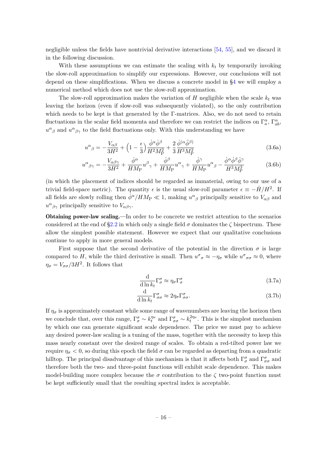negligible unless the fields have nontrivial derivative interactions [\[54,](#page-41-8) [55\]](#page-41-9), and we discard it in the following discussion.

With these assumptions we can estimate the scaling with *k<sup>t</sup>* by temporarily invoking the slow-roll approximation to simplify our expressions. However, our conclusions will not depend on these simplifications. When we discuss a concrete model in [§4](#page-23-0) we will employ a numerical method which does not use the slow-roll approximation.

The slow-roll approximation makes the variation of  $H$  negligible when the scale  $k_t$  was leaving the horizon (even if slow-roll was subsequently violated), so the only contribution which needs to be kept is that generated by the Γ-matrices. Also, we do not need to retain fluctuations in the scalar field momenta and therefore we can restrict the indices on  $\Gamma_a^{\alpha}$ ,  $\Gamma_{ab}^{\alpha}$ ,  $u^{\alpha}{}_{\beta}$  and  $u^{\alpha}{}_{\beta\gamma}$  to the field fluctuations only. With this understanding we have

<span id="page-17-0"></span>
$$
u^{\alpha}{}_{\beta} = -\frac{V_{\alpha\beta}}{3H^2} + \left(1 - \frac{\epsilon}{3}\right) \frac{\dot{\phi}^{\alpha}\dot{\phi}^{\beta}}{H^2 M_P^2} + \frac{2}{3} \frac{\dot{\phi}^{(\alpha}\ddot{\phi}^{\beta)}}{H^3 M_P^2}
$$
(3.6a)

$$
u^{\alpha}{}_{\beta\gamma} = -\frac{V_{\alpha\beta\gamma}}{3H^2} + \frac{\dot{\phi}^{\alpha}}{HM_P} u^{\beta}{}_{\gamma} + \frac{\dot{\phi}^{\beta}}{HM_P} u^{\alpha}{}_{\gamma} + \frac{\dot{\phi}^{\gamma}}{HM_P} u^{\alpha}{}_{\beta} - \frac{\dot{\phi}^{\alpha}\dot{\phi}^{\beta}\dot{\phi}^{\gamma}}{H^3M_P^3}
$$
(3.6b)

(in which the placement of indices should be regarded as immaterial, owing to our use of a trivial field-space metric). The quantity  $\epsilon$  is the usual slow-roll parameter  $\epsilon \equiv -\dot{H}/H^2$ . If all fields are slowly rolling then  $\dot{\phi}^{\alpha}/HM_P \ll 1$ , making  $u^{\alpha}{}_{\beta}$  principally sensitive to  $V_{\alpha\beta}$  and  $u^{\alpha}{}_{\beta\gamma}$  principally sensitive to  $V_{\alpha\beta\gamma}$ .

Obtaining power-law scaling.—In order to be concrete we restrict attention to the scenarios considered at the end of  $\S2.2$  in which only a single field  $\sigma$  dominates the  $\zeta$  bispectrum. These allow the simplest possible statement. However we expect that our qualitative conclusions continue to apply in more general models.

First suppose that the second derivative of the potential in the direction  $\sigma$  is large compared to *H*, while the third derivative is small. Then  $u^{\sigma}{}_{\sigma} \approx -\eta_{\sigma}$  while  $u^{\sigma}{}_{\sigma\sigma} \approx 0$ , where  $\eta_{\sigma} = V_{\sigma\sigma}/3H^2$ . It follows that

$$
\frac{\mathrm{d}}{\mathrm{d}\ln k_t} \Gamma^\sigma_\sigma \approx \eta_\sigma \Gamma^\sigma_\sigma \tag{3.7a}
$$

$$
\frac{\mathrm{d}}{\mathrm{d}\ln k_t} \Gamma^{\sigma}_{\sigma\sigma} \approx 2\eta_{\sigma} \Gamma^{\sigma}_{\sigma\sigma}.\tag{3.7b}
$$

If  $\eta_{\sigma}$  is approximately constant while some range of wavenumbers are leaving the horizon then we conclude that, over this range,  $\Gamma^{\sigma}_{\sigma} \sim k_t^{\eta_{\sigma}}$  and  $\Gamma^{\sigma}_{\sigma \sigma} \sim k_t^{2\eta_{\sigma}}$ . This is the simplest mechanism by which one can generate significant scale dependence. The price we must pay to achieve any desired power-law scaling is a tuning of the mass, together with the necessity to keep this mass nearly constant over the desired range of scales. To obtain a red-tilted power law we require  $η<sub>σ</sub> < 0$ , so during this epoch the field *σ* can be regarded as departing from a quadratic hilltop. The principal disadvantage of this mechanism is that it affects both  $\Gamma^{\sigma}_{\sigma}$  and  $\Gamma^{\sigma}_{\sigma\sigma}$  and therefore both the two- and three-point functions will exhibit scale dependence. This makes model-building more complex because the  $\sigma$  contribution to the  $\zeta$  two-point function must be kept sufficiently small that the resulting spectral index is acceptable.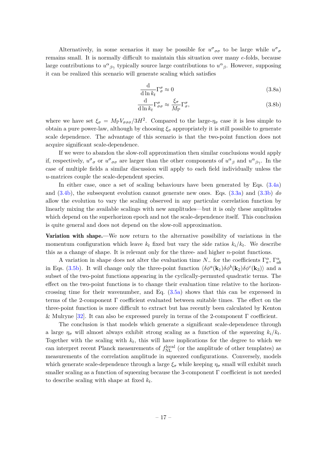<span id="page-18-0"></span>Alternatively, in some scenarios it may be possible for  $u^{\sigma}{}_{\sigma\sigma}$  to be large while  $u^{\sigma}{}_{\sigma}$ remains small. It is normally difficult to maintain this situation over many *e*-folds, because large contributions to  $u^{\alpha}{}_{\beta\gamma}$  typically source large contributions to  $u^{\alpha}{}_{\beta}$ . However, supposing it can be realized this scenario will generate scaling which satisfies

$$
\frac{\mathrm{d}}{\mathrm{d}\ln k_t} \Gamma_\sigma^\sigma \approx 0 \tag{3.8a}
$$

$$
\frac{\mathrm{d}}{\mathrm{d}\ln k_t} \Gamma^{\sigma}_{\sigma\sigma} \approx \frac{\xi_{\sigma}}{M_P} \Gamma^{\sigma}_{\sigma},\tag{3.8b}
$$

where we have set  $\xi_{\sigma} = M_{\rm P} V_{\sigma \sigma \sigma}/3H^2$ . Compared to the large- $\eta_{\sigma}$  case it is less simple to obtain a pure power-law, although by choosing  $\xi_{\sigma}$  appropriately it is still possible to generate scale dependence. The advantage of this scenario is that the two-point function does not acquire significant scale-dependence.

<span id="page-18-1"></span>If we were to abandon the slow-roll approximation then similar conclusions would apply if, respectively,  $u^{\sigma}{}_{\sigma}$  or  $u^{\sigma}{}_{\sigma\sigma}$  are larger than the other components of  $u^{\alpha}{}_{\beta}$  and  $u^{\alpha}{}_{\beta\gamma}$ . In the case of multiple fields a similar discussion will apply to each field individually unless the *u*-matrices couple the scale-dependent species.

In either case, once a set of scaling behaviours have been generated by Eqs. [\(3.4a\)](#page-15-3) and [\(3.4b\)](#page-15-4), the subsequent evolution cannot generate new ones. Eqs. [\(3.3a\)](#page-14-3) and [\(3.3b\)](#page-14-4) *do* allow the evolution to vary the scaling observed in any particular correlation function by linearly mixing the available scalings with new amplitudes—but it is only these amplitudes which depend on the superhorizon epoch and not the scale-dependence itself. This conclusion is quite general and does not depend on the slow-roll approximation.

**Variation with shape.**—We now return to the alternative possibility of variations in the momentum configuration which leave  $k_t$  fixed but vary the side ratios  $k_i/k_t$ . We describe this as a change of shape. It is relevant only for the three- and higher *n*-point functions.

<span id="page-18-2"></span>A variation in shape does not alter the evaluation time  $N_{-}$  for the coefficients  $\Gamma_a^{\alpha}$ ,  $\Gamma_{ab}^{\alpha}$ in Eqs. [\(3.5b\)](#page-15-0). It will change only the three-point function  $\langle \delta \phi^a(\mathbf{k}_1) \delta \phi^b(\mathbf{k}_2) \delta \phi^c(\mathbf{k}_3) \rangle$  and a subset of the two-point functions appearing in the cyclically-permuted quadratic terms. The effect on the two-point functions is to change their evaluation time relative to the horizoncrossing time for their wavenumber, and Eq. [\(3.5a\)](#page-15-2) shows that this can be expressed in terms of the 2-component Γ coefficient evaluated between suitable times. The effect on the three-point function is more difficult to extract but has recently been calculated by Kenton & Mulryne [\[32\]](#page-40-8). It can also be expressed purely in terms of the 2-component Γ coefficient.

<span id="page-18-3"></span>The conclusion is that models which generate a significant scale-dependence through a large  $\eta_{\sigma}$  will almost always exhibit strong scaling as a function of the squeezing  $k_i/k_t$ . Together with the scaling with  $k_t$ , this will have implications for the degree to which we can interpret recent Planck measurements of  $f_{\text{NL}}^{\text{local}}$  (or the amplitude of other templates) as measurements of the correlation amplitude in squeezed configurations. Conversely, models which generate scale-dependence through a large  $\xi_{\sigma}$  while keeping  $\eta_{\sigma}$  small will exhibit much smaller scaling as a function of squeezing because the 3-component Γ coefficient is not needed to describe scaling with shape at fixed *k<sup>t</sup>* .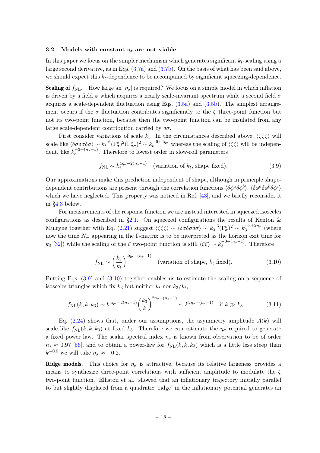#### <span id="page-19-0"></span>**3.2** Models with constant  $\eta_{\sigma}$  are not viable

In this paper we focus on the simpler mechanism which generates significant *kt*-scaling using a large second derivative, as in Eqs. [\(3.7a\)](#page-16-0) and [\(3.7b\)](#page-16-1). On the basis of what has been said above, we should expect this  $k_t$ -dependence to be accompanied by significant squeezing-dependence.

**Scaling of**  $f_{\text{NL}}$ .—How large an  $|\eta_{\sigma}|$  is required? We focus on a simple model in which inflation is driven by a field  $\phi$  which acquires a nearly scale-invariant spectrum while a second field  $\sigma$ acquires a scale-dependent fluctuation using Eqs.  $(3.5a)$  and  $(3.5b)$ . The simplest arrangement occurs if the  $\sigma$  fluctuation contributes significantly to the  $\zeta$  three-point function but not its two-point function, because then the two-point function can be insulated from any large scale-dependent contribution carried by *δσ*.

First consider variations of scale  $k_t$ . In the circumstances described above,  $\langle \zeta \zeta \zeta \rangle$  will scale like  $\langle \delta \sigma \delta \sigma \delta \sigma \rangle \sim k_t^{-6} (\Gamma^{\sigma}_{\sigma})^2 (\Gamma^{\sigma}_{\sigma \sigma})^2 \sim k_t^{-6+4\eta_{\sigma}}$  whereas the scaling of  $\langle \zeta \zeta \rangle$  will be independent, like  $k_t^{-3+(n_s-1)}$  $t_t^{-3+(\eta_s-1)}$ . Therefore to lowest order in slow-roll parameters

$$
f_{\rm NL} \sim k_t^{4\eta_\sigma - 2(n_s - 1)} \quad \text{(variation of } k_t \text{, shape fixed)}.\tag{3.9}
$$

Our approximations make this prediction independent of shape, although in principle shapedependent contributions are present through the correlation functions  $\langle \delta \phi^a \delta \phi^b \rangle$ ,  $\langle \delta \phi^a \delta \phi^b \delta \phi^c \rangle$ which we have neglected. This property was noticed in Ref. [\[43\]](#page-41-1), and we briefly reconsider it in [§4.3](#page-30-0) below.

For measurements of the response function we are instead interested in squeezed isosceles configurations as described in [§2.1.](#page-4-1) On squeezed configurations the results of Kenton  $\&$ Mulryne together with Eq. [\(2.21\)](#page-11-5) suggest  $\langle \zeta \zeta \zeta \rangle \sim \langle \delta \sigma \delta \sigma \delta \sigma \rangle \sim k_3^{-3} (\Gamma^{\sigma}_{\sigma})^2 \sim k_3^{-3+2\eta_{\sigma}}$  (where now the time *N*− appearing in the Γ-matrix is to be interpreted as the horizon exit time for *k*<sub>3</sub> [\[32\]](#page-40-8)) while the scaling of the *ζ* two-point function is still  $\langle \zeta \zeta \rangle \sim k_3^{-3+(n_s-1)}$  $\mathbb{F}_3^{3+ (ns-1)}$ . Therefore

$$
f_{\rm NL} \sim \left(\frac{k_3}{k_t}\right)^{2\eta_\sigma - (n_s - 1)} \quad \text{(variation of shape, } k_t \text{ fixed)}.\tag{3.10}
$$

Putting Eqs. [\(3.9\)](#page-18-1) and [\(3.10\)](#page-18-2) together enables us to estimate the scaling on a sequence of isosceles triangles which fix  $k_3$  but neither  $k_t$  nor  $k_3/k_t$ ,

$$
f_{\rm NL}(k,k,k_3) \sim k^{4\eta_\sigma - 2(n_s - 1)} \left(\frac{k_3}{k}\right)^{2\eta_\sigma - (n_s - 1)} \sim k^{2\eta_\sigma - (n_s - 1)} \quad \text{if } k \gg k_3. \tag{3.11}
$$

Eq.  $(2.24)$  shows that, under our assumptions, the asymmetry amplitude  $A(k)$  will scale like  $f_{\text{NL}}(k, k, k_3)$  at fixed  $k_3$ . Therefore we can estimate the  $\eta_{\sigma}$  required to generate a fixed power law. The scalar spectral index *n<sup>s</sup>* is known from observation to be of order  $n_s \approx 0.97$  [\[56\]](#page-41-10), and to obtain a power-law for  $f_{\rm NL}(k, k, k_3)$  which is a little less steep than  $k^{-0.5}$  we will take  $\eta_{\sigma} \approx -0.2$ .

Ridge models.—This choice for  $\eta_{\sigma}$  is attractive, because its relative largeness provides a means to synthesize three-point correlations with sufficient amplitude to modulate the *ζ* two-point function. Elliston et al. showed that an inflationary trajectory initially parallel to but slightly displaced from a quadratic 'ridge' in the inflationary potential generates an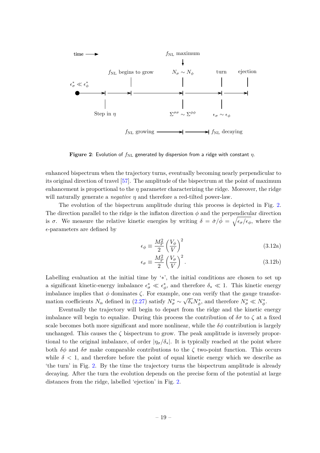

**Figure 2**: Evolution of  $f_{\text{NL}}$  generated by dispersion from a ridge with constant *η*.

enhanced bispectrum when the trajectory turns, eventually becoming nearly perpendicular to its original direction of travel [\[57\]](#page-41-11). The amplitude of the bispectrum at the point of maximum enhancement is proportional to the *η* parameter characterizing the ridge. Moreover, the ridge will naturally generate a *negative η* and therefore a red-tilted power-law.

The evolution of the bispectrum amplitude during this process is depicted in Fig. [2.](#page-19-0) The direction parallel to the ridge is the inflaton direction  $\phi$  and the perpendicular direction is  $\sigma$ . We measure the relative kinetic energies by writing  $\delta = \dot{\sigma}/\dot{\phi} = \sqrt{\epsilon_{\sigma}/\epsilon_{\phi}}$ , where the *ǫ*-parameters are defined by

<span id="page-20-0"></span>
$$
\epsilon_{\phi} \equiv \frac{M_{\rm P}^2}{2} \left(\frac{V_{\phi}}{V}\right)^2 \tag{3.12a}
$$

<span id="page-20-1"></span>
$$
\epsilon_{\sigma} \equiv \frac{M_{\rm P}^2}{2} \left(\frac{V_{\sigma}}{V}\right)^2.
$$
\n(3.12b)

Labelling evaluation at the initial time by '∗', the initial conditions are chosen to set up a significant kinetic-energy imbalance  $\epsilon^*_\sigma \ll \epsilon^*_\phi$  $\phi$ , and therefore  $\delta$ <sup>\*</sup>  $\ll$  1. This kinetic energy imbalance implies that  $\phi$  dominates  $\zeta$ . For example, one can verify that the gauge transformation coefficients  $N_{\alpha}$  defined in [\(2.27\)](#page-13-1) satisfy  $N_{\sigma}^{*} \sim$  $\sqrt{\delta_*} N_{\phi}^*$ , and therefore  $N_{\sigma}^* \ll N_{\phi}^*$ .

Eventually the trajectory will begin to depart from the ridge and the kinetic energy imbalance will begin to equalize. During this process the contribution of  $\delta\sigma$  to  $\zeta$  at a fixed scale becomes both more significant and more nonlinear, while the  $\delta\phi$  contribution is largely unchanged. This causes the  $\zeta$  bispectrum to grow. The peak amplitude is inversely proportional to the original imbalance, of order  $|\eta_{\sigma}/\delta_*|$ . It is typically reached at the point where both  $\delta\phi$  and  $\delta\sigma$  make comparable contributions to the  $\zeta$  two-point function. This occurs while  $\delta$  < 1, and therefore before the point of equal kinetic energy which we describe as 'the turn' in Fig. [2.](#page-19-0) By the time the trajectory turns the bispectrum amplitude is already decaying. After the turn the evolution depends on the precise form of the potential at large distances from the ridge, labelled 'ejection' in Fig. [2.](#page-19-0)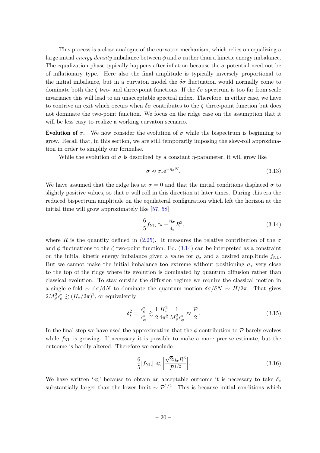This process is a close analogue of the curvaton mechanism, which relies on equalizing a large initial *energy density* imbalance between  $\phi$  and  $\sigma$  rather than a kinetic energy imbalance. The equalization phase typically happens after inflation because the  $\sigma$  potential need not be of inflationary type. Here also the final amplitude is typically inversely proportional to the initial imbalance, but in a curvaton model the  $\delta\sigma$  fluctuation would normally come to dominate both the  $\zeta$  two- and three-point functions. If the  $\delta\sigma$  spectrum is too far from scale invariance this will lead to an unacceptable spectral index. Therefore, in either case, we have to contrive an exit which occurs when  $\delta\sigma$  contributes to the  $\zeta$  three-point function but does not dominate the two-point function. We focus on the ridge case on the assumption that it will be less easy to realize a working curvaton scenario.

Evolution of  $\sigma$ .—We now consider the evolution of  $\sigma$  while the bispectrum is beginning to grow. Recall that, in this section, we are still temporarily imposing the slow-roll approximation in order to simplify our formulae.

While the evolution of  $\sigma$  is described by a constant *η*-parameter, it will grow like

$$
\sigma \approx \sigma_* e^{-\eta_\sigma N}.\tag{3.13}
$$

We have assumed that the ridge lies at  $\sigma = 0$  and that the initial conditions displaced  $\sigma$  to slightly positive values, so that  $\sigma$  will roll in this direction at later times. During this era the reduced bispectrum amplitude on the equilateral configuration which left the horizon at the initial time will grow approximately like [\[57,](#page-41-11) [58\]](#page-41-12)

$$
\frac{6}{5}f_{\rm NL} \approx -\frac{\eta_\sigma}{\delta_*}R^3,\tag{3.14}
$$

where *R* is the quantity defined in [\(2.25\)](#page-12-1). It measures the relative contribution of the  $\sigma$ and  $\phi$  fluctuations to the  $\zeta$  two-point function. Eq. [\(3.14\)](#page-20-0) can be interpreted as a constraint on the initial kinetic energy imbalance given a value for  $\eta_{\sigma}$  and a desired amplitude  $f_{\text{NL}}$ . But we cannot make the initial imbalance too extreme without positioning  $\sigma_*$  very close to the top of the ridge where its evolution is dominated by quantum diffusion rather than classical evolution. To stay outside the diffusion regime we require the classical motion in a single e-fold  $\sim d\sigma/dN$  to dominate the quantum motion  $\delta\sigma/\delta N \sim H/2\pi$ . That gives  $2M_P^2 \epsilon_\sigma^* \gtrsim (H_*/2\pi)^2$ , or equivalently

$$
\delta_*^2 = \frac{\epsilon_\sigma^*}{\epsilon_\phi^*} \gtrsim \frac{1}{2} \frac{H_*^2}{4\pi^2} \frac{1}{M_\text{P}^2 \epsilon_\phi^*} \approx \frac{\mathcal{P}}{2}.\tag{3.15}
$$

In the final step we have used the approximation that the  $\phi$  contribution to P barely evolves while  $f_{\rm NL}$  is growing. If necessary it is possible to make a more precise estimate, but the outcome is hardly altered. Therefore we conclude

$$
\frac{6}{5}|f_{\rm NL}| \ll \left|\frac{\sqrt{2}\eta_\sigma R^3}{\mathcal{P}^{1/2}}\right|.\tag{3.16}
$$

We have written ' $\ll$ ' because to obtain an acceptable outcome it is necessary to take  $\delta_*$ substantially larger than the lower limit  $\sim \mathcal{P}^{1/2}$ . This is because initial conditions which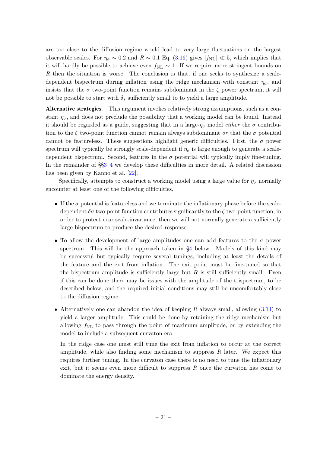are too close to the diffusion regime would lead to very large fluctuations on the largest observable scales. For  $\eta_{\sigma} \sim 0.2$  and  $R \sim 0.1$  Eq. [\(3.16\)](#page-20-1) gives  $|f_{\rm NL}| \ll 5$ , which implies that it will hardly be possible to achieve even  $f_{\text{NL}} \sim 1$ . If we require more stringent bounds on *R* then the situation is worse. The conclusion is that, if one seeks to synthesize a scaledependent bispectrum during inflation using the ridge mechanism with constant  $\eta_{\sigma}$ , and insists that the  $\sigma$  two-point function remains subdominant in the  $\zeta$  power spectrum, it will not be possible to start with  $\delta_*$  sufficiently small to to yield a large amplitude.

Alternative strategies.—This argument invokes relatively strong assumptions, such as a constant  $\eta_{\sigma}$ , and does not preclude the possibility that a working model can be found. Instead it should be regarded as a guide, suggesting that in a large- $\eta_{\sigma}$  model *either* the  $\sigma$  contribution to the  $\zeta$  two-point function cannot remain always subdominant *or* that the  $\sigma$  potential cannot be featureless. These suggestions highlight generic difficulties. First, the  $\sigma$  power spectrum will typically be strongly scale-dependent if  $\eta_{\sigma}$  is large enough to generate a scaledependent bispectrum. Second, features in the  $\sigma$  potential will typically imply fine-tuning. In the remainder of §[§3](#page-14-0)[–4](#page-23-0) we develop these difficulties in more detail. A related discussion has been given by Kanno et al. [\[22\]](#page-39-15).

Specifically, attempts to construct a working model using a large value for  $\eta_{\sigma}$  normally encounter at least one of the following difficulties.

- If the  $\sigma$  potential is featureless and we terminate the inflationary phase before the scaledependent *δσ* two-point function contributes significantly to the *ζ* two-point function, in order to protect near scale-invariance, then we will not normally generate a sufficiently large bispectrum to produce the desired response.
- <span id="page-22-0"></span>• To allow the development of large amplitudes one can add features to the  $\sigma$  power spectrum. This will be the approach taken in [§4](#page-23-0) below. Models of this kind may be successful but typically require several tunings, including at least the details of the feature and the exit from inflation. The exit point must be fine-tuned so that the bispectrum amplitude is sufficiently large but  $R$  is still sufficiently small. Even if this can be done there may be issues with the amplitude of the trispectrum, to be described below, and the required initial conditions may still be uncomfortably close to the diffusion regime.
- Alternatively one can abandon the idea of keeping *R* always small, allowing [\(3.14\)](#page-20-0) to yield a larger amplitude. This could be done by retaining the ridge mechanism but allowing  $f_{\rm NL}$  to pass through the point of maximum amplitude, or by extending the model to include a subsequent curvaton era.

<span id="page-22-1"></span>In the ridge case one must still tune the exit from inflation to occur at the correct amplitude, while also finding some mechanism to suppress *R* later. We expect this requires further tuning. In the curvaton case there is no need to tune the inflationary exit, but it seems even more difficult to suppress *R* once the curvaton has come to dominate the energy density.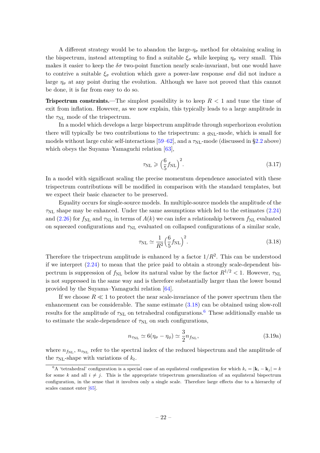A different strategy would be to abandon the large- $\eta_{\sigma}$  method for obtaining scaling in the bispectrum, instead attempting to find a suitable  $\xi_{\sigma}$  while keeping  $\eta_{\sigma}$  very small. This makes it easier to keep the  $\delta\sigma$  two-point function nearly scale-invariant, but one would have to contrive a suitable  $\xi_{\sigma}$  evolution which gave a power-law response *and* did not induce a large  $\eta_{\sigma}$  at any point during the evolution. Although we have not proved that this cannot be done, it is far from easy to do so.

Trispectrum constraints.—The simplest possibility is to keep *R <* 1 and tune the time of exit from inflation. However, as we now explain, this typically leads to a large amplitude in the  $\tau_{\text{NL}}$  mode of the trispectrum.

In a model which develops a large bispectrum amplitude through superhorizon evolution there will typically be two contributions to the trispectrum: a  $g_{NL}$ -mode, which is small for models without large cubic self-interactions  $[59–62]$  $[59–62]$ , and a  $\tau_{NL}$ -mode (discussed in [§2.2](#page-9-0) above) which obeys the Suyama–Yamaguchi relation [\[63\]](#page-42-1),

$$
\tau_{\rm NL} \geqslant \left(\frac{6}{5} f_{\rm NL}\right)^2. \tag{3.17}
$$

In a model with significant scaling the precise momentum dependence associated with these trispectrum contributions will be modified in comparison with the standard templates, but we expect their basic character to be preserved.

Equality occurs for single-source models. In multiple-source models the amplitude of the  $\tau_{\text{NL}}$  shape may be enhanced. Under the same assumptions which led to the estimates [\(2.24\)](#page-12-2) and [\(2.26\)](#page-12-3) for  $f_{\text{NL}}$  and  $\tau_{\text{NL}}$  in terms of  $A(k)$  we can infer a relationship between  $f_{\text{NL}}$  evaluated on squeezed configurations and  $\tau_{NL}$  evaluated on collapsed configurations of a similar scale,

$$
\tau_{\rm NL} \simeq \frac{1}{R^2} \left(\frac{6}{5} f_{\rm NL}\right)^2. \tag{3.18}
$$

<span id="page-23-0"></span>Therefore the trispectrum amplitude is enhanced by a factor  $1/R^2$ . This can be understood if we interpret [\(2.24\)](#page-12-2) to mean that the price paid to obtain a strongly scale-dependent bispectrum is suppression of  $f_{NL}$  below its natural value by the factor  $R^{1/2} < 1$ . However,  $\tau_{NL}$ is not suppressed in the same way and is therefore substantially larger than the lower bound provided by the Suyama–Yamaguchi relation [\[64\]](#page-42-2).

If we choose  $R \ll 1$  to protect the near scale-invariance of the power spectrum then the enhancement can be considerable. The same estimate [\(3.18\)](#page-22-0) can be obtained using slow-roll results for the amplitude of  $\tau_{NL}$  on tetrahedral configurations.<sup>[6](#page-22-1)</sup> These additionally enable us to estimate the scale-dependence of  $\tau_{NL}$  on such configurations,

$$
n_{\text{TM}} \simeq 6(\eta_{\sigma} - \eta_{\phi}) \simeq \frac{3}{2} n_{f_{\text{NL}}},\tag{3.19a}
$$

where  $n_{f_{\text{NL}}}$ ,  $n_{\tau_{\text{NL}}}$  refer to the spectral index of the reduced bispectrum and the amplitude of the  $\tau_{\text{NL}}$ -shape with variations of  $k_t$ .

<sup>&</sup>lt;sup>6</sup>A 'tetrahedral' configuration is a special case of an equilateral configuration for which  $k_i = |\mathbf{k}_i - \mathbf{k}_j| = k$ for some *k* and all  $i \neq j$ . This is the appropriate trispectrum generalization of an equilateral bispectrum configuration, in the sense that it involves only a single scale. Therefore large effects due to a hierarchy of scales cannot enter [\[65\]](#page-42-3).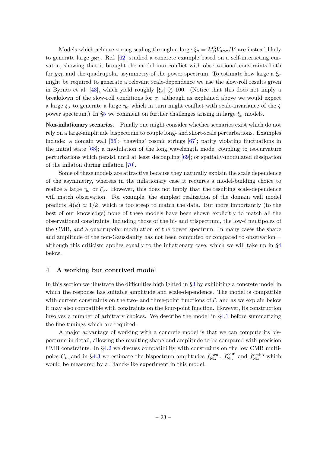<span id="page-24-0"></span>Models which achieve strong scaling through a large  $\xi_{\sigma} = M_P^3 V_{\sigma \sigma \sigma} / V$  are instead likely to generate large *g*NL. Ref. [\[62\]](#page-42-0) studied a concrete example based on a self-interacting curvaton, showing that it brought the model into conflict with observational constraints both for  $g_{NL}$  and the quadrupolar asymmetry of the power spectrum. To estimate how large a  $\xi_{\sigma}$ might be required to generate a relevant scale-dependence we use the slow-roll results given in Byrnes et al. [\[43\]](#page-41-1), which yield roughly  $|\xi_{\sigma}| \gtrsim 100$ . (Notice that this does not imply a breakdown of the slow-roll conditions for  $\sigma$ , although as explained above we would expect a large  $\xi_{\sigma}$  to generate a large  $\eta_{\sigma}$  which in turn might conflict with scale-invariance of the  $\zeta$ power spectrum.) In  $\S5$  we comment on further challenges arising in large  $\xi_{\sigma}$  models.

<span id="page-24-1"></span>Non-inflationary scenarios.—Finally one might consider whether scenarios exist which do not rely on a large-amplitude bispectrum to couple long- and short-scale perturbations. Examples include: a domain wall  $[66]$ ; 'thawing' cosmic strings  $[67]$ ; parity violating fluctuations in the initial state  $[68]$ ; a modulation of the long wavelength mode, coupling to isocurvature perturbations which persist until at least decoupling [\[69\]](#page-42-7); or spatially-modulated dissipation of the inflaton during inflation [\[70\]](#page-42-8).

Some of these models are attractive because they naturally explain the scale dependence of the asymmetry, whereas in the inflationary case it requires a model-building choice to realize a large  $\eta_{\sigma}$  or  $\xi_{\sigma}$ . However, this does not imply that the resulting scale-dependence will match observation. For example, the simplest realization of the domain wall model predicts  $A(k) \propto 1/k$ , which is too steep to match the data. But more importantly (to the best of our knowledge) none of these models have been shown explicitly to match all the observational constraints, including those of the bi- and trispectrum, the low-*ℓ* multipoles of the CMB, *and* a quadrupolar modulation of the power spectrum. In many cases the shape and amplitude of the non-Gaussianity has not been computed or compared to observation although this criticism applies equally to the inflationary case, which we will take up in [§4](#page-23-0) below.

#### **4 A working but contrived model**

In this section we illustrate the difficulties highlighted in [§3](#page-14-0) by exhibiting a concrete model in which the response has suitable amplitude and scale-dependence. The model is compatible with current constraints on the two- and three-point functions of  $\zeta$ , and as we explain below it may also compatible with constraints on the four-point function. However, its construction involves a number of arbitrary choices. We describe the model in [§4.1](#page-24-0) before summarizing the fine-tunings which are required.

A major advantage of working with a concrete model is that we can compute its bispectrum in detail, allowing the resulting shape and amplitude to be compared with precision CMB constraints. In [§4.2](#page-27-0) we discuss compatibility with constraints on the low CMB multipoles  $C_{\ell}$ , and in [§4.3](#page-30-0) we estimate the bispectrum amplitudes  $\hat{f}_{\text{NL}}^{\text{local}}$ ,  $\hat{f}_{\text{NL}}^{\text{equi}}$  and  $\hat{f}_{\text{NL}}^{\text{ortho}}$  which would be measured by a Planck-like experiment in this model.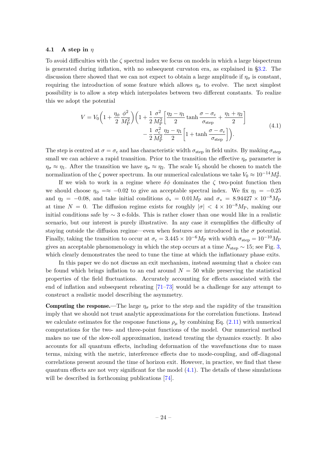#### <span id="page-25-0"></span>**4.1 A step in** *η*

To avoid difficulties with the  $\zeta$  spectral index we focus on models in which a large bispectrum is generated during inflation, with no subsequent curvaton era, as explained in [§3.2.](#page-18-0) The discussion there showed that we can not expect to obtain a large amplitude if  $\eta_{\sigma}$  is constant, requiring the introduction of some feature which allows  $\eta_{\sigma}$  to evolve. The next simplest possibility is to allow a step which interpolates between two different constants. To realize this we adopt the potential

$$
V = V_0 \left( 1 + \frac{\eta_\phi}{2} \frac{\phi^2}{M_P^2} \right) \left( 1 + \frac{1}{2} \frac{\sigma^2}{M_P^2} \left[ \frac{\eta_2 - \eta_1}{2} \tanh \frac{\sigma - \sigma_c}{\sigma_{\text{step}}} + \frac{\eta_1 + \eta_2}{2} \right] - \frac{1}{2} \frac{\sigma_c^2}{M_P^2} \frac{\eta_2 - \eta_1}{2} \left[ 1 + \tanh \frac{\sigma - \sigma_c}{\sigma_{\text{step}}} \right] \right). \tag{4.1}
$$

The step is centred at  $\sigma = \sigma_c$  and has characteristic width  $\sigma_{step}$  in field units. By making  $\sigma_{step}$ small we can achieve a rapid transition. Prior to the transition the effective  $\eta_{\sigma}$  parameter is  $\eta_{\sigma} \approx \eta_1$ . After the transition we have  $\eta_{\sigma} \approx \eta_2$ . The scale  $V_0$  should be chosen to match the normalization of the  $\zeta$  power spectrum. In our numerical calculations we take  $V_0 \approx 10^{-14} M_{\rm P}^4$ .

<span id="page-25-1"></span>If we wish to work in a regime where  $\delta\phi$  dominates the  $\zeta$  two-point function then we should choose  $\eta_{\phi} = \approx -0.02$  to give an acceptable spectral index. We fix  $\eta_1 = -0.25$ and  $\eta_2$  = −0*.08*, and take initial conditions  $\phi_*$  = 0*.01M*P and  $\sigma_*$  = 8*.94427* × 10<sup>-8</sup>*M*P at time  $N = 0$ . The diffusion regime exists for roughly  $|\sigma| < 4 \times 10^{-8} M_{\rm P}$ , making our initial conditions safe by  $\sim$  3 e-folds. This is rather closer than one would like in a realistic scenario, but our interest is purely illustrative. In any case it exemplifies the difficulty of staying outside the diffusion regime—even when features are introduced in the  $\sigma$  potential. Finally, taking the transition to occur at  $\sigma_c = 3.445 \times 10^{-6} M_P$  with width  $\sigma_{step} = 10^{-10} M_P$ gives an acceptable phenomenology in which the step occurs at a time *N*step ∼ 15; see Fig. [3,](#page-25-0) which clearly demonstrates the need to tune the time at which the inflationary phase exits.

In this paper we do not discuss an exit mechanism, instead assuming that a choice can be found which brings inflation to an end around  $N = 50$  while preserving the statistical properties of the field fluctuations. Accurately accounting for effects associated with the end of inflation and subsequent reheating [\[71–](#page-42-9)[73\]](#page-42-10) would be a challenge for any attempt to construct a realistic model describing the asymmetry.

**Computing the response.—The large**  $\eta_{\sigma}$  **prior to the step and the rapidity of the transition** imply that we should not trust analytic approximations for the correlation functions. Instead we calculate estimates for the response functions  $\rho_{\mu}$  by combining Eq. [\(2.11\)](#page-8-4) with numerical computations for the two- and three-point functions of the model. Our numerical method makes no use of the slow-roll approximation, instead treating the dynamics exactly. It also accounts for all quantum effects, including deformation of the wavefunctions due to mass terms, mixing with the metric, interference effects due to mode-coupling, and off-diagonal correlations present around the time of horizon exit. However, in practice, we find that these quantum effects are not very significant for the model  $(4.1)$ . The details of these simulations will be described in forthcoming publications [\[74\]](#page-42-11).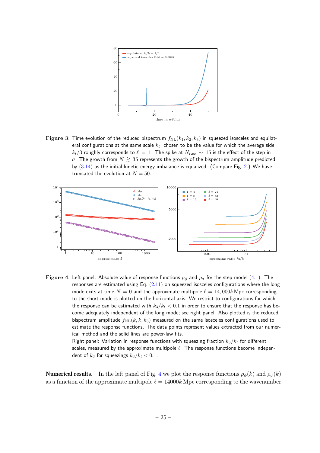<span id="page-26-0"></span>

**Figure 3**: Time evolution of the reduced bispectrum  $f_{\text{NL}}(k_1, k_2, k_3)$  in squeezed isosceles and equilateral configurations at the same scale *kt*, chosen to be the value for which the average side  $k_t/3$  roughly corresponds to  $\ell = 1$ . The spike at  $N_{\sf step} \sim 15$  is the effect of the step in  $\sigma$ . The growth from  $N \gtrsim 35$  represents the growth of the bispectrum amplitude predicted by  $(3.14)$  as the initial kinetic energy imbalance is equalized. (Compare Fig. [2.](#page-19-0)) We have truncated the evolution at  $N = 50$ .



**Figure 4**: Left panel: Absolute value of response functions *ρ<sup>φ</sup>* and *ρ<sup>σ</sup>* for the step model [\(4.1\)](#page-24-1). The responses are estimated using Eq. [\(2.11\)](#page-8-4) on squeezed isosceles configurations where the long mode exits at time  $N = 0$  and the approximate multipole  $\ell = 14,000k$  Mpc corresponding to the short mode is plotted on the horizontal axis. We restrict to configurations for which the response can be estimated with  $k_3/k_1 < 0.1$  in order to ensure that the response has become adequately independent of the long mode; see right panel. Also plotted is the reduced bispectrum amplitude  $f_{\text{NL}}(k, k, k_3)$  measured on the same isosceles configurations used to estimate the response functions. The data points represent values extracted from our numerical method and the solid lines are power-law fits.

> <span id="page-26-2"></span>Right panel: Variation in response functions with squeezing fraction *k*3*/k<sup>t</sup>* for different scales, measured by the approximate multipole *ℓ*. The response functions become independent of  $k_3$  for squeezings  $k_3/k_t < 0.1$ .

<span id="page-26-1"></span>**Numerical results.**—In the left panel of Fig. [4](#page-25-1) we plot the response functions  $\rho_{\phi}(k)$  and  $\rho_{\sigma}(k)$ as a function of the approximate multipole  $\ell = 14000k$  Mpc corresponding to the wavenumber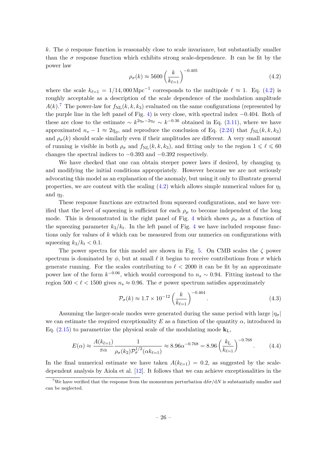<span id="page-27-1"></span>*k*. The  $\phi$  response function is reasonably close to scale invariance, but substantially smaller than the  $\sigma$  response function which exhibits strong scale-dependence. It can be fit by the power law

$$
\rho_{\sigma}(k) \approx 5600 \left(\frac{k}{k_{\ell=1}}\right)^{-0.405} \tag{4.2}
$$

where the scale  $k_{\ell=1} = 1/14,000 \,\mathrm{Mpc}^{-1}$  corresponds to the multipole  $\ell \approx 1$ . Eq. [\(4.2\)](#page-26-0) is roughly acceptable as a description of the scale dependence of the modulation amplitude  $A(k)$ <sup>[7](#page-26-1)</sup> The power-law for  $f_{\text{NL}}(k, k, k_3)$  evaluated on the same configurations (represented by the purple line in the left panel of Fig. [4\)](#page-25-1) is very close, with spectral index −0*.*404. Both of these are close to the estimate  $\sim k^{2\eta_{\sigma}-2\eta_{\phi}} \sim k^{-0.36}$  obtained in Eq. [\(3.11\)](#page-18-3), where we have approximated  $n_s - 1 \approx 2\eta_\phi$ , and reproduce the conclusion of Eq. [\(2.24\)](#page-12-2) that  $f_{\text{NL}}(k, k, k_3)$ and  $\rho_{\sigma}(k)$  should scale similarly even if their amplitudes are different. A very small amount of running is visible in both  $\rho_{\sigma}$  and  $f_{\text{NL}}(k, k, k_3)$ , and fitting only to the region  $1 \leq \ell \leq 60$ changes the spectral indices to −0*.*393 and −0*.*392 respectively.

We have checked that one can obtain steeper power laws if desired, by changing  $\eta_1$ and modifying the initial conditions appropriately. However because we are not seriously advocating this model as an explanation of the anomaly, but using it only to illustrate general properties, we are content with the scaling  $(4.2)$  which allows simple numerical values for  $\eta_1$ and  $\eta_2$ .

<span id="page-27-0"></span>These response functions are extracted from squeezed configurations, and we have verified that the level of squeezing is sufficient for each  $\rho_{\mu}$  to become independent of the long mode. This is demonstrated in the right panel of Fig. [4](#page-25-1) which shows  $\rho_{\sigma}$  as a function of the squeezing parameter  $k_3/k_t$ . In the left panel of Fig. [4](#page-25-1) we have included response functions only for values of *k* which can be measured from our numerics on configurations with squeezing  $k_3/k_t < 0.1$ .

The power spectra for this model are shown in Fig. [5.](#page-27-1) On CMB scales the *ζ* power spectrum is dominated by  $\phi$ , but at small  $\ell$  it begins to receive contributions from  $\sigma$  which generate running. For the scales contributing to  $\ell < 2000$  it can be fit by an approximate power law of the form  $k^{-0.06}$ , which would correspond to  $n_s \sim 0.94$ . Fitting instead to the region  $500 < l < 1500$  gives  $n_s \approx 0.96$ . The  $\sigma$  power spectrum satisfies approximately

<span id="page-27-2"></span>
$$
\mathcal{P}_{\sigma}(k) \approx 1.7 \times 10^{-12} \left(\frac{k}{k_{\ell=1}}\right)^{-0.464}.
$$
\n(4.3)

Assuming the larger-scale modes were generated during the same period with large  $|\eta_{\sigma}|$ we can estimate the required exceptionality  $E$  as a function of the quantity  $\alpha$ , introduced in Eq.  $(2.15)$  to parametrize the physical scale of the modulating mode  $\mathbf{k}_L$ ,

$$
E(\alpha) \approx \frac{A(k_{\ell=1})}{\pi \alpha} \frac{1}{\rho_{\sigma}(k_2) \mathcal{P}_{\sigma}^{1/2}(\alpha k_{\ell=1})} \approx 8.96 \alpha^{-0.768} = 8.96 \left(\frac{k_{\rm L}}{k_{\ell=1}}\right)^{-0.768}.
$$
 (4.4)

In the final numerical estimate we have taken  $A(k_{\ell-1}) = 0.2$ , as suggested by the scaledependent analysis by Aiola et al. [\[12\]](#page-39-7). It follows that we can achieve exceptionalities in the

<sup>&</sup>lt;sup>7</sup>We have verified that the response from the momentum perturbation  $d\delta\sigma/dN$  is substantially smaller and can be neglected.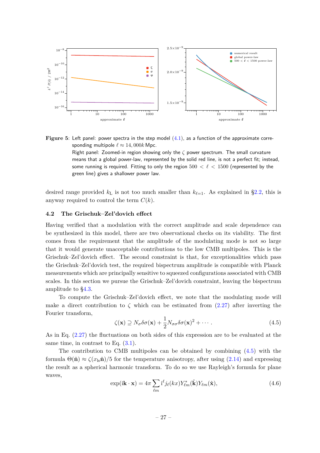

<span id="page-28-3"></span><span id="page-28-2"></span><span id="page-28-1"></span>**Figure 5:** Left panel: power spectra in the step model  $(4.1)$ , as a function of the approximate corresponding multipole  $\ell \approx 14,000k$  Mpc. Right panel: Zoomed-in region showing only the *ζ* power spectrum. The small curvature means that a global power-law, represented by the solid red line, is not a perfect fit; instead, some running is required. Fitting to only the region 500 *< ℓ <* 1500 (represented by the green line) gives a shallower power law.

desired range provided  $k<sub>L</sub>$  is not too much smaller than  $k<sub>l=1</sub>$ . As explained in [§2.2,](#page-9-0) this is anyway required to control the term *C*(*k*).

#### **4.2 The Grischuk–Zel'dovich effect**

Having verified that a modulation with the correct amplitude and scale dependence can be synthesized in this model, there are two observational checks on its viability. The first comes from the requirement that the amplitude of the modulating mode is not so large that it would generate unacceptable contributions to the low CMB multipoles. This is the Grischuk–Zel'dovich effect. The second constraint is that, for exceptionalities which pass the Grischuk–Zel'dovich test, the required bispectrum amplitude is compatible with Planck measurements which are principally sensitive to squeezed configurations associated with CMB scales. In this section we pursue the Grischuk–Zel'dovich constraint, leaving the bispectrum amplitude to [§4.3.](#page-30-0)

<span id="page-28-0"></span>To compute the Grischuk–Zel'dovich effect, we note that the modulating mode will make a direct contribution to  $\zeta$  which can be estimated from  $(2.27)$  after inverting the Fourier transform,

$$
\zeta(\mathbf{x}) \supseteq N_{\sigma} \delta \sigma(\mathbf{x}) + \frac{1}{2} N_{\sigma \sigma} \delta \sigma(\mathbf{x})^2 + \cdots \tag{4.5}
$$

As in Eq. [\(2.27\)](#page-13-1) the fluctuations on both sides of this expression are to be evaluated at the same time, in contrast to Eq.  $(3.1)$ .

The contribution to CMB multipoles can be obtained by combining [\(4.5\)](#page-27-2) with the formula  $\Theta(\hat{\bf n}) \approx \zeta(x_{\rm ls}\hat{\bf n})/5$  for the temperature anisotropy, after using [\(2.14\)](#page-10-0) and expressing the result as a spherical harmonic transform. To do so we use Rayleigh's formula for plane waves,

$$
\exp(i\mathbf{k}\cdot\mathbf{x}) = 4\pi \sum_{\ell m} i^{\ell} j_{\ell}(kx) Y_{\ell m}^{*}(\hat{\mathbf{k}}) Y_{\ell m}(\hat{\mathbf{x}}), \qquad (4.6)
$$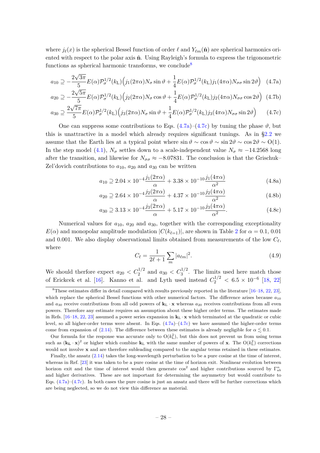<span id="page-29-0"></span>where  $j_{\ell}(x)$  is the spherical Bessel function of order  $\ell$  and  $Y_{\ell m}(\hat{\bf{n}})$  are spherical harmonics oriented with respect to the polar axis  $\hat{\mathbf{n}}$ . Using Rayleigh's formula to express the trigonometric functions as spherical harmonic transforms, we conclude<sup>[8](#page-28-0)</sup>

$$
a_{10} \supseteq -\frac{2\sqrt{3\pi}}{5} E(\alpha) \mathcal{P}_{\sigma}^{1/2}(k_{\text{L}}) \Big(j_1(2\pi\alpha) N_{\sigma} \sin \vartheta + \frac{1}{4} E(\alpha) \mathcal{P}_{\sigma}^{1/2}(k_{\text{L}}) j_1(4\pi\alpha) N_{\sigma\sigma} \sin 2\vartheta\Big) \tag{4.7a}
$$

$$
a_{20} \supseteq -\frac{2\sqrt{5\pi}}{5} E(\alpha) \mathcal{P}_{\sigma}^{1/2}(k_{\text{L}}) \Big(j_2(2\pi\alpha) N_{\sigma} \cos\vartheta + \frac{1}{4} E(\alpha) \mathcal{P}_{\sigma}^{1/2}(k_{\text{L}}) j_2(4\pi\alpha) N_{\sigma\sigma} \cos 2\vartheta\Big) (4.7b)
$$

$$
a_{30} \supseteq \frac{2\sqrt{7\pi}}{5} E(\alpha) \mathcal{P}_{\sigma}^{1/2}(k_{\text{L}}) \Big(j_3(2\pi\alpha) N_{\sigma} \sin \vartheta + \frac{1}{4} E(\alpha) \mathcal{P}_{\sigma}^{1/2}(k_{\text{L}}) j_3(4\pi\alpha) N_{\sigma\sigma} \sin 2\vartheta\Big) \tag{4.7c}
$$

One can suppress some contributions to Eqs.  $(4.7a)-(4.7c)$  $(4.7a)-(4.7c)$  by tuning the phase  $\vartheta$ , but this is unattractive in a model which already requires significant tunings. As in [§2.2](#page-9-0) we assume that the Earth lies at a typical point where  $\sin \vartheta \sim \cos \vartheta \sim \sin 2\vartheta \sim \cos 2\vartheta \sim O(1)$ . In the step model [\(4.1\)](#page-24-1),  $N_{\sigma}$  settles down to a scale-independent value  $N_{\sigma} \approx -14.2568$  long after the transition, and likewise for  $N_{\sigma\sigma} \approx -8.07831$ . The conclusion is that the Grischuk– Zel'dovich contributions to  $a_{10}$ ,  $a_{20}$  and  $a_{30}$  can be written

$$
a_{10} \supseteq 2.04 \times 10^{-4} \frac{j_1(2\pi\alpha)}{\alpha} + 3.38 \times 10^{-10} \frac{j_1(4\pi\alpha)}{\alpha^2} \tag{4.8a}
$$

$$
a_{20} \supseteq 2.64 \times 10^{-4} \frac{j_2(2\pi\alpha)}{\alpha} + 4.37 \times 10^{-10} \frac{j_2(4\pi\alpha)}{\alpha^2}
$$
 (4.8b)

$$
a_{30} \supseteq 3.13 \times 10^{-4} \frac{j_3(2\pi\alpha)}{\alpha} + 5.17 \times 10^{-10} \frac{j_3(4\pi\alpha)}{\alpha^2}.
$$
 (4.8c)

Numerical values for *a*10, *a*<sup>20</sup> and *a*30, together with the corresponding exceptionality  $E(\alpha)$  and monopolar amplitude modulation  $|C(k_{\ell-1})|$ , are shown in Table [2](#page-29-0) for  $\alpha = 0.1, 0.01$ and 0*.*001. We also display observational limits obtained from measurements of the low *C<sup>ℓ</sup>* , where

$$
C_{\ell} = \frac{1}{2\ell + 1} \sum_{m} |a_{\ell m}|^2.
$$
 (4.9)

We should therfore expect  $a_{20} < C_2^{1/2}$  and  $a_{30} < C_3^{1/2}$ . The limits used here match those of Erickcek et al. [\[16\]](#page-39-10). Kanno et al. and Lyth used instead  $C_2^{1/2} < 6.5 \times 10^{-6}$  [\[18,](#page-39-12) [22\]](#page-39-15)

<sup>8</sup>These estimates differ in detail compared with results previously reported in the literature [\[16–](#page-39-10)[18,](#page-39-12) [22,](#page-39-15) [23\]](#page-40-0), which replace the spherical Bessel functions with other numerical factors. The difference arises because *a*<sup>10</sup> and  $a_{30}$  receive contributions from all odd powers of  $\mathbf{k}_L \cdot \mathbf{x}$  whereas  $a_{20}$  receives contributions from all even powers. Therefore any estimate requires an assumption about these higher order terms. The estimates made in Refs. [\[16](#page-39-10)[–18,](#page-39-12) [22,](#page-39-15) [23\]](#page-40-0) assumed a power series expansion in  $\mathbf{k}_\text{L} \cdot \mathbf{x}$  which terminated at the quadratic or cubic level, so all higher-order terms were absent. In Eqs. [\(4.7a\)](#page-28-1)–[\(4.7c\)](#page-28-2) we have assumed the higher-order terms come from expansion of [\(2.14\)](#page-10-0). The difference between these estimates is already negligible for  $\alpha \leq 0.1$ .

Our formula for the response was accurate only to  $O(k_{\rm L}^2)$ , but this does not prevent us from using terms such as  $(\mathbf{k}_\mathbf{L} \cdot \mathbf{x})^2$  or higher which combine  $\mathbf{k}_\mathbf{L}$  with the same number of powers of **x**. The  $O(k_\mathbf{L}^2)$  corrections would not involve **x** and are therefore subleading compared to the angular terms retained in these estimates.

<span id="page-29-1"></span>Finally, the ansatz [\(2.14\)](#page-10-0) takes the long-wavelength perturbation to be a pure cosine at the time of interest, whereas in Ref. [\[23\]](#page-40-0) it was taken to be a pure cosine at the time of horizon exit. Nonlinear evolution between horizon exit and the time of interest would then generate  $\cos^2$  and higher contributions sourced by  $\Gamma_{ab}^{\alpha}$ and higher derivatives. These are not important for determining the asymmetry but would contribute to Eqs.  $(4.7a)$ – $(4.7c)$ . In both cases the pure cosine is just an ansatz and there will be further corrections which are being neglected, so we do not view this difference as material.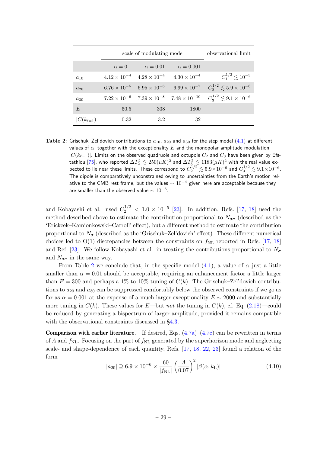|                   | scale of modulating mode |                                                 |                       | observational limit                                                                                    |
|-------------------|--------------------------|-------------------------------------------------|-----------------------|--------------------------------------------------------------------------------------------------------|
|                   |                          | $\alpha = 0.1$ $\alpha = 0.01$ $\alpha = 0.001$ |                       |                                                                                                        |
| $a_{10}$          |                          | $4.12 \times 10^{-4}$ $4.28 \times 10^{-4}$     | $4.30 \times 10^{-4}$ | $C_1^{1/2} \leq 10^{-3}$                                                                               |
| $a_{20}$          |                          | $6.76 \times 10^{-5}$ $6.95 \times 10^{-6}$     |                       | $6.99 \times 10^{-7}$ $C_2^{1/2} \leq 5.9 \times 10^{-6}$                                              |
| $a_{30}$          |                          |                                                 |                       | $7.22 \times 10^{-6}$ $7.39 \times 10^{-8}$ $7.48 \times 10^{-10}$ $C_3^{1/2} \leq 9.1 \times 10^{-6}$ |
| E                 | 50.5                     | 308                                             | 1800                  |                                                                                                        |
| $ C(k_{\ell=1}) $ | 0.32                     | 3.2                                             | 32                    |                                                                                                        |

**Table 2**: Grischuk–Zel'dovich contributions to  $a_{10}$ ,  $a_{20}$  and  $a_{30}$  for the step model [\(4.1\)](#page-24-1) at different values of  $\alpha$ , together with the exceptionality  $E$  and the monopolar amplitude modulation  $|C(k_{\ell=1})|$ . Limits on the observed quadruole and octupole  $C_2$  and  $C_3$  have been given by Efs-tathiou [\[75\]](#page-42-12), who reported  $\Delta T_2^2 \lesssim 250 (\mu K)^2$  and  $\Delta T_3^2 \lesssim 1183 (\mu K)^2$  with the real value expected to lie near these limits. These correspond to  $C_2^{1/2} \lesssim 5.9 \times 10^{-6}$  and  $C_3^{1/2} \lesssim 9.1 \times 10^{-6}$ . The dipole is comparatively unconstrained owing to uncertainties from the Earth's motion relative to the CMB rest frame, but the values  $\sim 10^{-4}$  given here are acceptable because they are smaller than the observed value  $\sim 10^{-3}$ .

<span id="page-30-0"></span>and Kobayashi et al. used  $C_2^{1/2} < 1.0 \times 10^{-5}$  [\[23\]](#page-40-0). In addition, Refs. [\[17,](#page-39-11) [18\]](#page-39-12) used the method described above to estimate the contribution proportional to  $N_{\sigma\sigma}$  (described as the 'Erickcek–Kamionkowski–Carroll' effect), but a different method to estimate the contribution proportional to  $N_{\sigma}$  (described as the 'Grischuk–Zel'dovich' effect). These different numerical choices led to  $O(1)$  discrepancies between the constraints on  $f_{NL}$  reported in Refs. [\[17,](#page-39-11) [18\]](#page-39-12) and Ref. [\[23\]](#page-40-0). We follow Kobayashi et al. in treating the contributions proportional to  $N_{\sigma}$ and  $N_{\sigma\sigma}$  in the same way.

From Table [2](#page-29-0) we conclude that, in the specific model  $(4.1)$ , a value of  $\alpha$  just a little smaller than  $\alpha = 0.01$  should be acceptable, requiring an enhancement factor a little larger than  $E = 300$  and perhaps a 1% to 10% tuning of  $C(k)$ . The Grischuk–Zel'dovich contributions to *a*<sup>20</sup> and *a*<sup>30</sup> can be suppressed comfortably below the observed constraints if we go as far as  $\alpha = 0.001$  at the expense of a much larger exceptionality  $E \sim 2000$  and substantially more tuning in  $C(k)$ . These values for *E*—but *not* the tuning in  $C(k)$ , cf. Eq. [\(2.18\)](#page-11-4)—could be reduced by generating a bispectrum of larger amplitude, provided it remains compatible with the observational constraints discussed in [§4.3.](#page-30-0)

**Comparison with earlier literature.**—If desired, Eqs.  $(4.7a)$ – $(4.7c)$  can be rewritten in terms of *A* and  $f_{\text{NL}}$ . Focusing on the part of  $f_{\text{NL}}$  generated by the superhorizon mode and neglecting scale- and shape-dependence of each quantity, Refs. [\[17,](#page-39-11) [18,](#page-39-12) [22,](#page-39-15) [23\]](#page-40-0) found a relation of the form

<span id="page-30-2"></span><span id="page-30-1"></span>
$$
|a_{20}| \supseteq 6.9 \times 10^{-6} \times \frac{60}{|f_{\rm NL}|} \left(\frac{A}{0.07}\right)^2 |\beta(\alpha, k_{\rm L})| \tag{4.10}
$$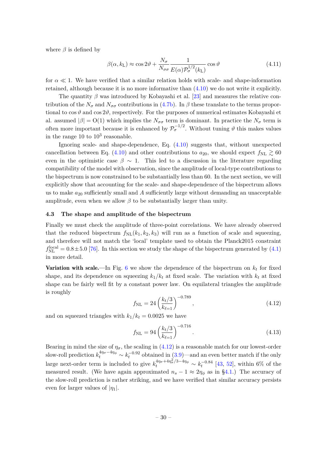where  $\beta$  is defined by

<span id="page-31-0"></span>
$$
\beta(\alpha, k_{\text{L}}) \approx \cos 2\vartheta + \frac{N_{\sigma}}{N_{\sigma\sigma}} \frac{1}{E(\alpha)\mathcal{P}_{\sigma}^{1/2}(k_{\text{L}})} \cos \vartheta \tag{4.11}
$$

for  $\alpha \ll 1$ . We have verified that a similar relation holds with scale- and shape-information retained, although because it is no more informative than [\(4.10\)](#page-29-1) we do not write it explicitly.

The quantity  $\beta$  was introduced by Kobayashi et al. [\[23\]](#page-40-0) and measures the relative contribution of the  $N_{\sigma}$  and  $N_{\sigma\sigma}$  contributions in [\(4.7b\)](#page-28-3). In  $\beta$  these translate to the terms proportional to  $\cos \vartheta$  and  $\cos 2\vartheta$ , respectively. For the purposes of numerical estimates Kobayashi et al. assumed  $|\beta| = O(1)$  which implies the  $N_{\sigma\sigma}$  term is dominant. In practice the  $N_{\sigma}$  term is often more important because it is enhanced by  $\mathcal{P}_{\sigma}^{-1/2}$ . Without tuning  $\vartheta$  this makes values in the range  $10$  to  $10^3$  reasonable.

Ignoring scale- and shape-dependence, Eq. [\(4.10\)](#page-29-1) suggests that, without unexpected cancellation between Eq. [\(4.10\)](#page-29-1) and other contributions to  $a_{20}$ , we should expect  $f_{\text{NL}} \gtrsim 60$ even in the optimistic case  $\beta \sim 1$ . This led to a discussion in the literature regarding compatibility of the model with observation, since the amplitude of local-type contributions to the bispectrum is now constrained to be substantially less than 60. In the next section, we will explicitly show that accounting for the scale- and shape-dependence of the bispectrum allows us to make *a*<sup>20</sup> sufficiently small and *A* sufficiently large without demanding an unacceptable amplitude, even when we allow  $\beta$  to be substantially larger than unity.

#### **4.3 The shape and amplitude of the bispectrum**

Finally we must check the amplitude of three-point correlations. We have already observed that the reduced bispectrum  $f_{\text{NL}}(k_1, k_2, k_3)$  will run as a function of scale and squeezing, and therefore will not match the 'local' template used to obtain the Planck2015 constraint  $f_{\text{NL}}^{\text{local}} = 0.8 \pm 5.0$  [\[76\]](#page-42-13). In this section we study the shape of the bispectrum generated by [\(4.1\)](#page-24-1) in more detail.

**Variation with scale.**—In Fig. [6](#page-32-0) we show the dependence of the bispectrum on  $k_t$  for fixed shape, and its dependence on squeezing  $k_1/k_t$  at fixed scale. The variation with  $k_t$  at fixed shape can be fairly well fit by a constant power law. On equilateral triangles the amplitude is roughly

<span id="page-31-2"></span><span id="page-31-1"></span>
$$
f_{\rm NL} = 24 \left(\frac{k_t/3}{k_{\ell=1}}\right)^{-0.789},\tag{4.12}
$$

and on squeezed triangles with  $k_1/k_t = 0.0025$  we have

$$
f_{\rm NL} = 94 \left(\frac{k_t/3}{k_{\ell=1}}\right)^{-0.716}.\tag{4.13}
$$

Bearing in mind the size of  $\eta_{\sigma}$ , the scaling in [\(4.12\)](#page-30-1) is a reasonable match for our lowest-order slow-roll prediction  $k_t^{4\eta_\sigma-4\eta_\phi} \sim k_t^{-0.92}$  obtained in [\(3.9\)](#page-18-1)—and an even better match if the only large next-order term is included to give  $k_t^{4\eta_\sigma+4\eta_\sigma^2/3-4\eta_\phi} \sim k_t^{-0.84}$  [\[43,](#page-41-1) [52\]](#page-41-7), within 6% of the measured result. (We have again approximated  $n_s - 1 \approx 2\eta_\phi$  as in [§4.1.](#page-24-0)) The accuracy of the slow-roll prediction is rather striking, and we have verified that similar accuracy persists even for larger values of  $|\eta_1|$ .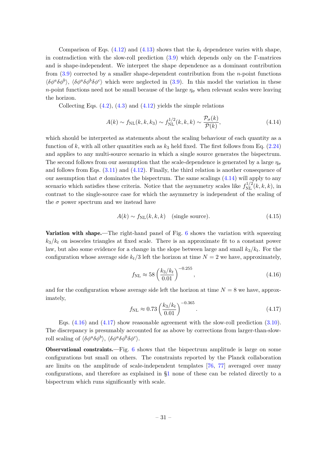<span id="page-32-0"></span>Comparison of Eqs.  $(4.12)$  and  $(4.13)$  shows that the  $k_t$  dependence varies with shape, in contradiction with the slow-roll prediction  $(3.9)$  which depends only on the Γ-matrices and is shape-independent. We interpret the shape dependence as a dominant contribution from [\(3.9\)](#page-18-1) corrected by a smaller shape-dependent contribution from the *n*-point functions  $\langle \delta \phi^a \delta \phi^b \rangle$ ,  $\langle \delta \phi^a \delta \phi^b \delta \phi^c \rangle$  which were neglected in [\(3.9\)](#page-18-1). In this model the variation in these *n*-point functions need not be small because of the large  $\eta_{\sigma}$  when relevant scales were leaving the horizon.

Collecting Eqs.  $(4.2)$ ,  $(4.3)$  and  $(4.12)$  yields the simple relations

$$
A(k) \sim f_{\rm NL}(k, k, k_3) \sim f_{\rm NL}^{1/2}(k, k, k) \sim \frac{\mathcal{P}_{\sigma}(k)}{\mathcal{P}(k)},
$$
\n(4.14)

which should be interpreted as statements about the scaling behaviour of each quantity as a function of *k*, with all other quantities such as *k*<sup>3</sup> held fixed. The first follows from Eq. [\(2.24\)](#page-12-2) and applies to any multi-source scenario in which a single source generates the bispectrum. The second follows from our assumption that the scale-dependence is generated by a large  $\eta_{\sigma}$ and follows from Eqs. [\(3.11\)](#page-18-3) and [\(4.12\)](#page-30-1). Finally, the third relation is another consequence of our assumption that  $\sigma$  dominates the bispectrum. The same scalings [\(4.14\)](#page-31-0) will apply to any scenario which satisfies these criteria. Notice that the asymmetry scales like  $f_{\text{NL}}^{1/2}(k, k, k)$ , in contrast to the single-source case for which the asymmetry is independent of the scaling of the  $\sigma$  power spectrum and we instead have

$$
A(k) \sim f_{\rm NL}(k, k, k) \quad \text{(single source)}.\tag{4.15}
$$

Variation with shape.—The right-hand panel of Fig. [6](#page-32-0) shows the variation with squeezing  $k_3/k_t$  on isosceles triangles at fixed scale. There is an approximate fit to a constant power law, but also some evidence for a change in the slope between large and small *k*3*/k<sup>t</sup>* . For the configuration whose average side  $k_t/3$  left the horizon at time  $N = 2$  we have, approximately,

$$
f_{\rm NL} \approx 58 \left(\frac{k_3/k_t}{0.01}\right)^{-0.255},\tag{4.16}
$$

and for the configuration whose average side left the horizon at time  $N = 8$  we have, approximately,

$$
f_{\rm NL} \approx 0.73 \left(\frac{k_3/k_t}{0.01}\right)^{-0.365}.\tag{4.17}
$$

Eqs. [\(4.16\)](#page-31-1) and [\(4.17\)](#page-31-2) show reasonable agreement with the slow-roll prediction [\(3.10\)](#page-18-2). The discrepancy is presumably accounted for as above by corrections from larger-than-slowroll scaling of  $\langle \delta \phi^a \delta \phi^b \rangle$ ,  $\langle \delta \phi^a \delta \phi^b \delta \phi^c \rangle$ .

Observational constraints.—Fig. [6](#page-32-0) shows that the bispectrum amplitude is large on some configurations but small on others. The constraints reported by the Planck collaboration are limits on the amplitude of scale-independent templates [\[76,](#page-42-13) [77\]](#page-42-14) averaged over many configurations, and therefore as explained in [§1](#page-1-0) none of these can be related directly to a bispectrum which runs significantly with scale.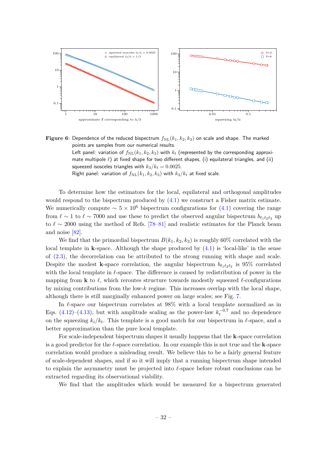<span id="page-33-0"></span>

**Figure 6**: Dependence of the reduced bispectrum  $f_{\text{NL}}(k_1, k_2, k_3)$  on scale and shape. The marked points are samples from our numerical results. Left panel: variation of  $f_{\text{NL}}(k_1, k_2, k_3)$  with  $k_t$  (represented by the corresponding approxi-

mate multipole *ℓ*) at fixed shape for two different shapes, (i) equilateral triangles, and (ii) squeezed isosceles triangles with  $k_3/k_t = 0.0025$ .

Right panel: variation of  $f_{\text{NL}}(k_1, k_2, k_3)$  with  $k_3/k_t$  at fixed scale.

To determine how the estimators for the local, equilateral and orthogonal amplitudes would respond to the bispectrum produced by  $(4.1)$  we construct a Fisher matrix estimate. We numerically compute  $\sim 5 \times 10^6$  bispectrum configurations for [\(4.1\)](#page-24-1) covering the range from  $\ell \sim 1$  to  $\ell \sim 7000$  and use these to predict the observed angular bispectrum  $b_{\ell_1 \ell_2 \ell_3}$  up to  $\ell \sim 2000$  using the method of Refs. [\[78–](#page-42-15)[81\]](#page-42-16) and realistic estimates for the Planck beam and noise [\[82\]](#page-43-0).

We find that the primordial bispectrum  $B(k_1, k_2, k_3)$  is roughly 60% correlated with the local template in **k**-space. Although the shape produced by [\(4.1\)](#page-24-1) is 'local-like' in the sense of [\(2.3\)](#page-6-3), the decorrelation can be attributed to the strong running with shape and scale. Despite the modest **k**-space correlation, the angular bispectrum  $b_{\ell_1\ell_2\ell_3}$  is 95% correlated with the local template in *ℓ*-space. The difference is caused by redistribution of power in the mapping from **k** to *ℓ*, which reroutes structure towards modestly squeezed *ℓ*-configurations by mixing contributions from the low-*k* regime. This increases overlap with the local shape, although there is still marginally enhanced power on large scales; see Fig. [7.](#page-34-1)

In *ℓ*-space our bispectrum correlates at 98% with a local template normalized as in Eqs. [\(4.12\)](#page-30-1)–[\(4.13\)](#page-30-2), but with amplitude scaling as the power-law  $k_t^{-0.7}$  and no dependence on the squeezing  $k_i/k_t$ . This template is a good match for our bispectrum in  $\ell$ -space, and a better approximation than the pure local template.

For scale-independent bispectrum shapes it usually happens that the **k**-space correlation is a good predictor for the *ℓ*-space correlation. In our example this is not true and the **k**-space correlation would produce a misleading result. We believe this to be a fairly general feature of scale-dependent shapes, and if so it will imply that a running bispectrum shape intended to explain the asymmetry must be projected into *ℓ*-space before robust conclusions can be extracted regarding its observational viability.

<span id="page-33-1"></span>We find that the amplitudes which would be measured for a bispectrum generated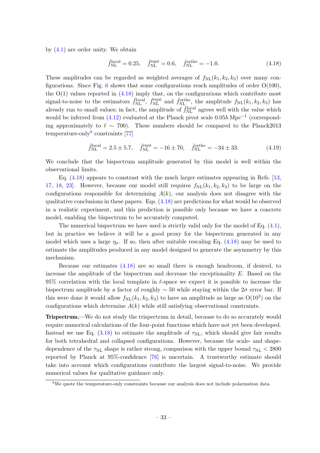<span id="page-34-1"></span>by [\(4.1\)](#page-24-1) are order unity. We obtain

$$
\hat{f}_{\rm NL}^{\rm local} = 0.25, \quad \hat{f}_{\rm NL}^{\rm equi} = 0.6, \quad \hat{f}_{\rm NL}^{\rm ortho} = -1.0. \tag{4.18}
$$

These amplitudes can be regarded as weighted averages of  $f_{\text{NL}}(k_1, k_2, k_3)$  over many con-figurations. Since Fig. [6](#page-32-0) shows that some configurations reach amplitudes of order  $O(100)$ , the  $O(1)$  values reported in  $(4.18)$  imply that, on the configurations which contribute most signal-to-noise to the estimators  $\hat{f}_{\text{NL}}^{\text{local}}$ ,  $\hat{f}_{\text{NL}}^{\text{equi}}$  and  $\hat{f}_{\text{NL}}^{\text{ortho}}$ , the amplitude  $f_{\text{NL}}(k_1, k_2, k_3)$  has already run to small values; in fact, the amplitude of  $\hat{f}_{\text{NL}}^{\text{local}}$  agrees well with the value which would be inferred from [\(4.12\)](#page-30-1) evaluated at the Planck pivot scale 0*.*05*h* Mpc−<sup>1</sup> (corresponding approximately to  $\ell \sim 700$ ). These numbers should be compared to the Planck2013 temperature-only<sup>[9](#page-33-1)</sup> constraints [\[77\]](#page-42-14)

$$
\hat{f}_{\rm NL}^{\rm local} = 2.5 \pm 5.7, \quad \hat{f}_{\rm NL}^{\rm equi} = -16 \pm 70, \quad \hat{f}_{\rm NL}^{\rm ortho} = -34 \pm 33. \tag{4.19}
$$

We conclude that the bispectrum amplitude generated by this model is well within the observational limits.

Eq. [\(4.18\)](#page-33-0) appears to constrast with the much larger estimates appearing in Refs. [\[13,](#page-39-16) [17,](#page-39-11) [18,](#page-39-12) 23. However, because our model still requires  $f_{NL}(k_1, k_2, k_3)$  to be large on the configurations responsible for determining  $A(k)$ , our analysis does not disagree with the qualitative conclusions in these papers. Eqs. [\(4.18\)](#page-33-0) are predictions for what would be observed in a realistic experiment, and this prediction is possible only because we have a concrete model, enabling the bispectrum to be accurately computed.

The numerical bispectrum we have used is strictly valid only for the model of Eq.  $(4.1)$ , but in practice we believe it will be a good proxy for the bispectrum generated in any model which uses a large  $\eta_{\sigma}$ . If so, then after suitable rescaling Eq. [\(4.18\)](#page-33-0) may be used to estimate the amplitudes produced in any model designed to generate the asymmetry by this mechanism.

Because our estimates [\(4.18\)](#page-33-0) are so small there is enough headroom, if desired, to increase the amplitude of the bispectrum and decrease the exceptionality *E*. Based on the 95% correlation with the local template in *ℓ*-space we expect it is possible to increase the bispectrum amplitude by a factor of roughly ∼ 50 while staying within the 2*σ* error bar. If this were done it would allow  $f_{\text{NL}}(k_1, k_2, k_3)$  to have an amplitude as large as  $\mathcal{O}(10^3)$  on the configurations which determine *A*(*k*) while still satisfying observational constraints.

<span id="page-34-0"></span>Trispectrum.—We do not study the trispectrum in detail, because to do so accurately would require numerical calculations of the four-point functions which have not yet been developed. Instead we use Eq.  $(3.18)$  to estimate the amplitude of  $\tau_{NL}$ , which should give fair results for both tetrahedral and collapsed configurations. However, because the scale- and shapedependence of the  $\tau_{NL}$  shape is rather strong, comparison with the upper bound  $\tau_{NL}$  < 2800 reported by Planck at 95%-confidence [\[76\]](#page-42-13) is uncertain. A trustworthy estimate should take into account which configurations contribute the largest signal-to-noise. We provide numerical values for qualitative guidance only.

 $9$ We quote the temperature-only constraints because our analysis does not include polarization data.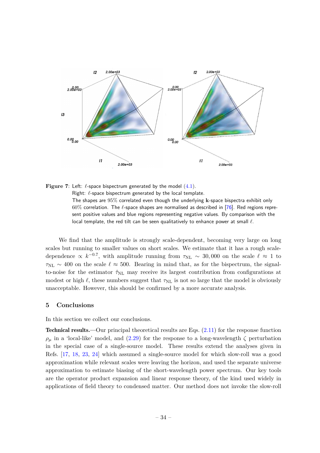



We find that the amplitude is strongly scale-dependent, becoming very large on long scales but running to smaller values on short scales. We estimate that it has a rough scaledependence  $\propto k^{-0.7}$ , with amplitude running from  $\tau_{NL} \sim 30,000$  on the scale  $\ell \approx 1$  to  $\tau_{NL} \sim 400$  on the scale  $\ell \approx 500$ . Bearing in mind that, as for the bispectrum, the signalto-noise for the estimator  $\hat{\tau}_{NL}$  may receive its largest contribution from configurations at modest or high  $\ell$ , these numbers suggest that  $\tau_{NL}$  is not so large that the model is obviously unacceptable. However, this should be confirmed by a more accurate analysis.

#### **5 Conclusions**

In this section we collect our conclusions.

<span id="page-35-0"></span>Technical results.—Our principal theoretical results are Eqs. [\(2.11\)](#page-8-4) for the response function  $ρ<sub>μ</sub>$  in a 'local-like' model, and [\(2.29\)](#page-13-2) for the response to a long-wavelength  $ζ$  perturbation in the special case of a single-source model. These results extend the analyses given in Refs. [\[17,](#page-39-11) [18,](#page-39-12) [23,](#page-40-0) [24\]](#page-40-1) which assumed a single-source model for which slow-roll was a good approximation while relevant scales were leaving the horizon, and used the separate universe approximation to estimate biasing of the short-wavelength power spectrum. Our key tools are the operator product expansion and linear response theory, of the kind used widely in applications of field theory to condensed matter. Our method does not invoke the slow-roll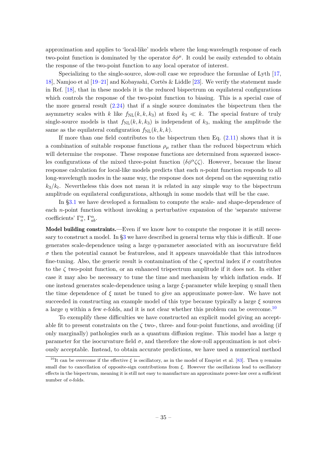approximation and applies to 'local-like' models where the long-wavelength response of each two-point function is dominated by the operator  $\delta \phi^{\mu}$ . It could be easily extended to obtain the response of the two-point function to any local operator of interest.

Specializing to the single-source, slow-roll case we reproduce the formulae of Lyth [\[17,](#page-39-11) [18\]](#page-39-12), Namjoo et al [\[19–](#page-39-13)[21\]](#page-39-14) and Kobayashi, Cortês & Liddle [\[23\]](#page-40-0). We verify the statement made in Ref. [\[18\]](#page-39-12), that in these models it is the reduced bispectrum on equilateral configurations which controls the response of the two-point function to biasing. This is a special case of the more general result  $(2.24)$  that if a single source dominates the bispectrum then the asymmetry scales with *k* like  $f_{\text{NL}}(k, k, k_3)$  at fixed  $k_3 \ll k$ . The special feature of truly single-source models is that  $f_{NL}(k, k, k_3)$  is independent of  $k_3$ , making the amplitude the same as the equilateral configuration  $f_{\text{NL}}(k, k, k)$ .

If more than one field contributes to the bispectrum then Eq.  $(2.11)$  shows that it is a combination of suitable response functions  $\rho_\mu$  rather than the reduced bispectrum which will determine the response. These response functions are determined from squeezed isosceles configurations of the mixed three-point function  $\langle \delta \phi^{\alpha} \zeta \zeta \rangle$ . However, because the linear response calculation for local-like models predicts that each *n*-point function responds to all long-wavelength modes in the same way, the response does not depend on the squeezing ratio  $k_3/k_t$ . Nevertheless this does not mean it is related in any simple way to the bispectrum amplitude on equilateral configurations, although in some models that will be the case.

In [§3.1](#page-14-1) we have developed a formalism to compute the scale- and shape-dependence of each *n*-point function without invoking a perturbative expansion of the 'separate universe coefficients'  $\Gamma_a^{\alpha}$ ,  $\Gamma_{ab}^{\alpha}$ .

Model building constraints.—Even if we know how to compute the response it is still necessary to construct a model. In [§3](#page-14-0) we have described in general terms why this is difficult. If one generates scale-dependence using a large *η*-parameter associated with an isocurvature field  $\sigma$  then the potential cannot be featureless, and it appears unavoidable that this introduces fine-tuning. Also, the generic result is contamination of the  $\zeta$  spectral index if  $\sigma$  contributes to the *ζ* two-point function, or an enhanced trispectrum amplitude if it does not. In either case it may also be necessary to tune the time and mechanism by which inflation ends. If one instead generates scale-dependence using a large *ξ*-parameter while keeping *η* small then the time dependence of *ξ* must be tuned to give an approximate power-law. We have not succeeded in constructing an example model of this type because typically a large *ξ* sources a large  $\eta$  within a few e-folds, and it is not clear whether this problem can be overcome.<sup>[10](#page-35-0)</sup>

To exemplify these difficulties we have constructed an explicit model giving an acceptable fit to present constraints on the  $\zeta$  two-, three- and four-point functions, and avoiding (if only marginally) pathologies such as a quantum diffusion regime. This model has a large *η* parameter for the isocurvature field  $\sigma$ , and therefore the slow-roll approximation is not obviously acceptable. Instead, to obtain accurate predictions, we have used a numerical method

<sup>&</sup>lt;sup>10</sup>It can be overcome if the effective  $\xi$  is oscillatory, as in the model of Enqvist et al. [\[83\]](#page-43-1). Then  $\eta$  remains small due to cancellation of opposite-sign contributions from *ξ*. However the oscillations lead to oscillatory effects in the bispectrum, meaning it is still not easy to manufacture an approximate power-law over a sufficient number of e-folds.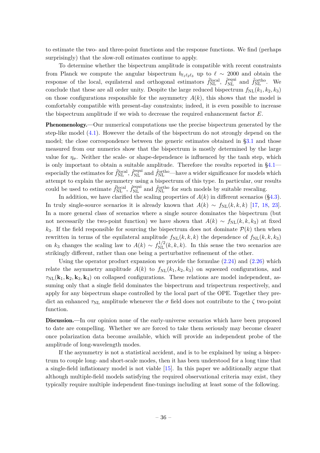to estimate the two- and three-point functions and the response functions. We find (perhaps surprisingly) that the slow-roll estimates continue to apply.

To determine whether the bispectrum amplitude is compatible with recent constraints from Planck we compute the angular bispectrum  $b_{\ell_1\ell_2\ell_3}$  up to  $\ell \sim 2000$  and obtain the response of the local, equilateral and orthogonal estimators  $\hat{f}_{\text{NL}}^{\text{local}}$ ,  $\hat{f}_{\text{NL}}^{\text{equi}}$  and  $\hat{f}_{\text{NL}}^{\text{ortho}}$ . We conclude that these are all order unity. Despite the large reduced bispectrum  $f_{NL}(k_1, k_2, k_3)$ on those configurations responsible for the asymmetry  $A(k)$ , this shows that the model is comfortably compatible with present-day constraints; indeed, it is even possible to increase the bispectrum amplitude if we wish to decrease the required enhancement factor *E*.

Phenomenology.—Our numerical computations use the precise bispectrum generated by the step-like model  $(4.1)$ . However the details of the bispectrum do not strongly depend on the model; the close correspondence between the generic estimates obtained in [§3.1](#page-14-1) and those measured from our numerics show that the bispectrum is mostly determined by the large value for  $\eta_{\sigma}$ . Neither the scale- or shape-dependence is influenced by the tanh step, which is only important to obtain a suitable amplitude. Therefore the results reported in [§4.1](#page-24-0) especially the estimates for  $\hat{f}_{\rm NL}^{\rm local}$ ,  $\hat{f}_{\rm NL}^{\rm equi}$  and  $\hat{f}_{\rm NL}^{\rm ortho}$ —have a wider significance for models which attempt to explain the asymmetry using a bispectrum of this type. In particular, our results could be used to estimate  $\hat{f}_{\text{NL}}^{\text{local}}$ ,  $\hat{f}_{\text{NL}}^{\text{equi}}$  and  $\hat{f}_{\text{NL}}^{\text{ortho}}$  for such models by suitable rescaling.

In addition, we have clarified the scaling properties of  $A(k)$  in different scenarios ([§4.3\)](#page-30-0). In truly single-source scenarios it is already known that  $A(k) \sim f_{\text{NL}}(k, k, k)$  [\[17,](#page-39-11) [18,](#page-39-12) [23\]](#page-40-0). In a more general class of scenarios where a single source dominates the bispectrum (but not necessarily the two-point function) we have shown that  $A(k) \sim f_{\text{NL}}(k, k, k_3)$  at fixed  $k_3$ . If the field responsible for sourcing the bispectrum does not dominate  $\mathcal{P}(k)$  then when rewritten in terms of the equilateral amplitude  $f_{NL}(k, k, k)$  the dependence of  $f_{NL}(k, k, k_3)$ on  $k_3$  changes the scaling law to  $A(k) \sim f_{\text{NL}}^{1/2}(k, k, k)$ . In this sense the two scenarios are strikingly different, rather than one being a perturbative refinement of the other.

Using the operator product expansion we provide the formulae  $(2.24)$  and  $(2.26)$  which relate the asymmetry amplitude  $A(k)$  to  $f_{NL}(k_1, k_2, k_3)$  on squeezed configurations, and  $\tau_{NL}(\mathbf{k}_1, \mathbf{k}_2, \mathbf{k}_3, \mathbf{k}_4)$  on collapsed configurations. These relations are model independent, assuming only that a single field dominates the bispectrum and trispectrum respectively, and apply for any bispectrum shape controlled by the local part of the OPE. Together they predict an enhanced  $\tau_{NL}$  amplitude whenever the  $\sigma$  field does not contribute to the  $\zeta$  two-point function.

Discussion.—In our opinion none of the early-universe scenarios which have been proposed to date are compelling. Whether we are forced to take them seriously may become clearer once polarization data become available, which will provide an independent probe of the amplitude of long-wavelength modes.

<span id="page-37-0"></span>If the asymmetry is not a statistical accident, and is to be explained by using a bispectrum to couple long- and short-scale modes, then it has been understood for a long time that a single-field inflationary model is not viable [\[15\]](#page-39-9). In this paper we additionally argue that although multiple-field models satisfying the required observational criteria may exist, they typically require multiple independent fine-tunings including at least some of the following.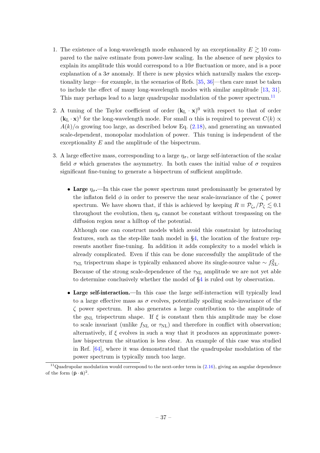- 1. The existence of a long-wavelength mode enhanced by an exceptionality  $E \gtrsim 10$  compared to the naïve estimate from power-law scaling. In the absence of new physics to explain its amplitude this would correspond to a 10*σ* fluctuation or more, and is a poor explanation of a  $3\sigma$  anomaly. If there is new physics which naturally makes the exceptionality large—for example, in the scenarios of Refs. [\[35,](#page-40-11) [36\]](#page-40-12)—then care must be taken to include the effect of many long-wavelength modes with similar amplitude [\[13,](#page-39-16) [31\]](#page-40-6). This may perhaps lead to a large quadrupolar modulation of the power spectrum.<sup>[11](#page-37-0)</sup>
- 2. A tuning of the Taylor coefficient of order  $(\mathbf{k}_L \cdot \mathbf{x})^0$  with respect to that of order  $(\mathbf{k}_\text{L} \cdot \mathbf{x})^1$  for the long-wavelength mode. For small  $\alpha$  this is required to prevent  $C(k) \propto$  $A(k)/\alpha$  growing too large, as described below Eq. [\(2.18\)](#page-11-4), and generating an unwanted scale-dependent, monopolar modulation of power. This tuning is independent of the exceptionality *E* and the amplitude of the bispectrum.
- 3. A large effective mass, corresponding to a large  $\eta_{\sigma}$ , or large self-interaction of the scalar field  $\sigma$  which generates the asymmetry. In both cases the initial value of  $\sigma$  requires significant fine-tuning to generate a bispectrum of sufficient amplitude.
	- Large  $\eta_{\sigma}$ —In this case the power spectrum must predominantly be generated by the inflaton field *φ* in order to preserve the near scale-invariance of the *ζ* power spectrum. We have shown that, if this is achieved by keeping  $R \equiv \mathcal{P}_{\zeta_{\sigma}}/\mathcal{P}_{\zeta} \lesssim 0.1$ throughout the evolution, then  $\eta_{\sigma}$  cannot be constant without trespassing on the diffusion region near a hilltop of the potential.

Although one can construct models which avoid this constraint by introducing features, such as the step-like tanh model in [§4,](#page-23-0) the location of the feature represents another fine-tuning. In addition it adds complexity to a model which is already complicated. Even if this can be done successfully the amplitude of the  $\tau_{\rm NL}$  trispectrum shape is typically enhanced above its single-source value  $\sim f_{\rm NL}^2$ . Because of the strong scale-dependence of the  $\tau_{\rm NL}$  amplitude we are not yet able to determine conclusively whether the model of [§4](#page-23-0) is ruled out by observation.

• Large self-interaction.—In this case the large self-interaction will typically lead to a large effective mass as  $\sigma$  evolves, potentially spoiling scale-invariance of the *ζ* power spectrum. It also generates a large contribution to the amplitude of the  $g_{NL}$  trispectrum shape. If  $\xi$  is constant then this amplitude may be close to scale invariant (unlike  $f_{\rm NL}$  or  $\tau_{\rm NL}$ ) and therefore in conflict with observation; alternatively, if  $\xi$  evolves in such a way that it produces an approximate powerlaw bispectrum the situation is less clear. An example of this case was studied in Ref. [\[64\]](#page-42-2), where it was demonstrated that the quadrupolar modulation of the power spectrum is typically much too large.

<span id="page-38-1"></span><span id="page-38-0"></span><sup>&</sup>lt;sup>11</sup>Quadrupolar modulation would correspond to the next-order term in  $(2.16)$ , giving an angular dependence of the form  $(\hat{\mathbf{p}} \cdot \hat{\mathbf{n}})^2$ .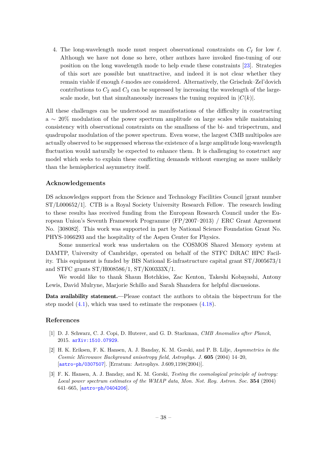<span id="page-39-0"></span>4. The long-wavelength mode must respect observational constraints on *C<sup>ℓ</sup>* for low *ℓ*. Although we have not done so here, other authors have invoked fine-tuning of our position on the long wavelength mode to help evade these constraints [\[23\]](#page-40-0). Strategies of this sort are possible but unattractive, and indeed it is not clear whether they remain viable if enough *ℓ*-modes are considered. Alternatively, the Grischuk–Zel'dovich contributions to  $C_2$  and  $C_3$  can be supressed by increasing the wavelength of the largescale mode, but that simultaneously increases the tuning required in  $|C(k)|$ .

<span id="page-39-3"></span><span id="page-39-2"></span><span id="page-39-1"></span>All these challenges can be understood as manifestations of the difficulty in constructing a ∼ 20% modulation of the power spectrum amplitude on large scales while maintaining consistency with observational constraints on the smallness of the bi- and trispectrum, and quadrupolar modulation of the power spectrum. Even worse, the largest CMB multipoles are actually observed to be suppressed whereas the existence of a large amplitude long-wavelength fluctuation would naturally be expected to enhance them. It is challenging to construct any model which seeks to explain these conflicting demands without emerging as more unlikely than the hemispherical asymmetry itself.

#### <span id="page-39-5"></span><span id="page-39-4"></span>**Acknowledgements**

<span id="page-39-7"></span><span id="page-39-6"></span>DS acknowledges support from the Science and Technology Facilities Council [grant number ST/L000652/1]. CTB is a Royal Society University Research Fellow. The research leading to these results has received funding from the European Research Council under the European Union's Seventh Framework Programme (FP/2007–2013) / ERC Grant Agreement No. [308082]. This work was supported in part by National Science Foundation Grant No. PHYS-1066293 and the hospitality of the Aspen Center for Physics.

<span id="page-39-16"></span><span id="page-39-8"></span>Some numerical work was undertaken on the COSMOS Shared Memory system at DAMTP, University of Cambridge, operated on behalf of the STFC DiRAC HPC Facility. This equipment is funded by BIS National E-infrastructure capital grant ST/J005673/1 and STFC grants ST/H008586/1, ST/K00333X/1.

<span id="page-39-10"></span><span id="page-39-9"></span>We would like to thank Shaun Hotchkiss, Zac Kenton, Takeshi Kobayashi, Antony Lewis, David Mulryne, Marjorie Schillo and Sarah Shandera for helpful discussions.

<span id="page-39-11"></span>Data availability statement.—Please contact the authors to obtain the bispectrum for the step model [\(4.1\)](#page-24-1), which was used to estimate the responses [\(4.18\)](#page-33-0).

#### <span id="page-39-13"></span><span id="page-39-12"></span>**References**

- [1] D. J. Schwarz, C. J. Copi, D. Huterer, and G. D. Starkman, *CMB Anomalies after Planck*, 2015. [arXiv:1510.07929](http://arxiv.org/abs/1510.07929).
- <span id="page-39-14"></span>[2] H. K. Eriksen, F. K. Hansen, A. J. Banday, K. M. Gorski, and P. B. Lilje, *Asymmetries in the Cosmic Microwave Background anisotropy field*, *Astrophys. J.* **605** (2004) 14–20, [[astro-ph/0307507](http://arxiv.org/abs/astro-ph/0307507)]. [Erratum: Astrophys. J.609,1198(2004)].
- <span id="page-39-15"></span>[3] F. K. Hansen, A. J. Banday, and K. M. Gorski, *Testing the cosmological principle of isotropy: Local power spectrum estimates of the WMAP data*, *Mon. Not. Roy. Astron. Soc.* **354** (2004) 641–665, [[astro-ph/0404206](http://arxiv.org/abs/astro-ph/0404206)].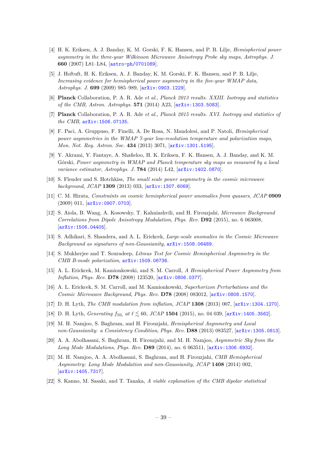- <span id="page-40-0"></span>[4] H. K. Eriksen, A. J. Banday, K. M. Gorski, F. K. Hansen, and P. B. Lilje, *Hemispherical power asymmetry in the three-year Wilkinson Microwave Anisotropy Probe sky maps*, *Astrophys. J.* **660** (2007) L81–L84, [[astro-ph/0701089](http://arxiv.org/abs/astro-ph/0701089)].
- <span id="page-40-1"></span>[5] J. Hoftuft, H. K. Eriksen, A. J. Banday, K. M. Gorski, F. K. Hansen, and P. B. Lilje, *Increasing evidence for hemispherical power asymmetry in the five-year WMAP data*, *Astrophys. J.* **699** (2009) 985–989, [[arXiv:0903.1229](http://arxiv.org/abs/0903.1229)].
- <span id="page-40-2"></span>[6] **Planck** Collaboration, P. A. R. Ade *et al.*, *Planck 2013 results. XXIII. Isotropy and statistics of the CMB*, *Astron. Astrophys.* **571** (2014) A23, [[arXiv:1303.5083](http://arxiv.org/abs/1303.5083)].
- <span id="page-40-3"></span>[7] **Planck** Collaboration, P. A. R. Ade *et al.*, *Planck 2015 results. XVI. Isotropy and statistics of the CMB*, [arXiv:1506.07135](http://arxiv.org/abs/1506.07135).
- <span id="page-40-7"></span>[8] F. Paci, A. Gruppuso, F. Finelli, A. De Rosa, N. Mandolesi, and P. Natoli, *Hemispherical power asymmetries in the WMAP 7-year low-resolution temperature and polarization maps*, *Mon. Not. Roy. Astron. Soc.* **434** (2013) 3071, [[arXiv:1301.5195](http://arxiv.org/abs/1301.5195)].
- <span id="page-40-4"></span>[9] Y. Akrami, Y. Fantaye, A. Shafieloo, H. K. Eriksen, F. K. Hansen, A. J. Banday, and K. M. Górski, *Power asymmetry in WMAP and Planck temperature sky maps as measured by a local variance estimator*, *Astrophys. J.* **784** (2014) L42, [[arXiv:1402.0870](http://arxiv.org/abs/1402.0870)].
- <span id="page-40-5"></span>[10] S. Flender and S. Hotchkiss, *The small scale power asymmetry in the cosmic microwave background*, *JCAP* **1309** (2013) 033, [[arXiv:1307.6069](http://arxiv.org/abs/1307.6069)].
- <span id="page-40-6"></span>[11] C. M. Hirata, *Constraints on cosmic hemispherical power anomalies from quasars*, *JCAP* **0909** (2009) 011, [[arXiv:0907.0703](http://arxiv.org/abs/0907.0703)].
- <span id="page-40-8"></span>[12] S. Aiola, B. Wang, A. Kosowsky, T. Kahniashvili, and H. Firouzjahi, *Microwave Background Correlations from Dipole Anisotropy Modulation*, *Phys. Rev.* **D92** (2015), no. 6 063008, [[arXiv:1506.04405](http://arxiv.org/abs/1506.04405)].
- <span id="page-40-9"></span>[13] S. Adhikari, S. Shandera, and A. L. Erickcek, *Large-scale anomalies in the Cosmic Microwave Background as signatures of non-Gaussianity*, [arXiv:1508.06489](http://arxiv.org/abs/1508.06489).
- <span id="page-40-10"></span>[14] S. Mukherjee and T. Souradeep, *Litmus Test for Cosmic Hemispherical Asymmetry in the CMB B-mode polarization*, [arXiv:1509.06736](http://arxiv.org/abs/1509.06736).
- <span id="page-40-11"></span>[15] A. L. Erickcek, M. Kamionkowski, and S. M. Carroll, *A Hemispherical Power Asymmetry from Inflation*, *Phys. Rev.* **D78** (2008) 123520, [[arXiv:0806.0377](http://arxiv.org/abs/0806.0377)].
- <span id="page-40-12"></span>[16] A. L. Erickcek, S. M. Carroll, and M. Kamionkowski, *Superhorizon Perturbations and the Cosmic Microwave Background*, *Phys. Rev.* **D78** (2008) 083012, [[arXiv:0808.1570](http://arxiv.org/abs/0808.1570)].
- <span id="page-40-13"></span>[17] D. H. Lyth, *The CMB modulation from inflation*, *JCAP* **1308** (2013) 007, [[arXiv:1304.1270](http://arxiv.org/abs/1304.1270)].
- [18] D. H. Lyth, *Generating*  $f_{NL}$  *at*  $\ell \leq 60$ , *JCAP* 1504 (2015), no. 04 039, [[arXiv:1405.3562](http://arxiv.org/abs/1405.3562)].
- <span id="page-40-14"></span>[19] M. H. Namjoo, S. Baghram, and H. Firouzjahi, *Hemispherical Asymmetry and Local non-Gaussianity: a Consistency Condition*, *Phys. Rev.* **D88** (2013) 083527, [[arXiv:1305.0813](http://arxiv.org/abs/1305.0813)].
- <span id="page-40-15"></span>[20] A. A. Abolhasani, S. Baghram, H. Firouzjahi, and M. H. Namjoo, *Asymmetric Sky from the Long Mode Modulations*, *Phys. Rev.* **D89** (2014), no. 6 063511, [[arXiv:1306.6932](http://arxiv.org/abs/1306.6932)].
- [21] M. H. Namjoo, A. A. Abolhasani, S. Baghram, and H. Firouzjahi, *CMB Hemispherical Asymmetry: Long Mode Modulation and non-Gaussianity*, *JCAP* **1408** (2014) 002, [[arXiv:1405.7317](http://arxiv.org/abs/1405.7317)].
- <span id="page-40-16"></span>[22] S. Kanno, M. Sasaki, and T. Tanaka, *A viable explanation of the CMB dipolar statistical*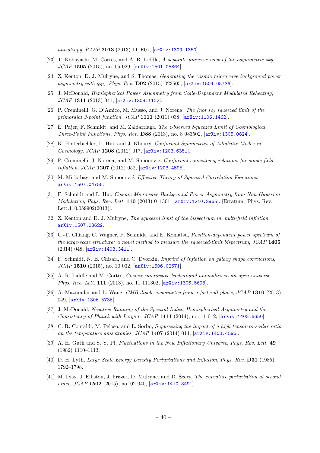<span id="page-41-0"></span>*anisotropy*, *PTEP* **2013** (2013) 111E01, [[arXiv:1309.1350](http://arxiv.org/abs/1309.1350)].

- <span id="page-41-1"></span>[23] T. Kobayashi, M. Cortês, and A. R. Liddle, *A separate universe view of the asymmetric sky*, *JCAP* **1505** (2015), no. 05 029, [[arXiv:1501.05864](http://arxiv.org/abs/1501.05864)].
- [24] Z. Kenton, D. J. Mulryne, and S. Thomas, *Generating the cosmic microwave background power asymmetry with*  $g_{\text{NL}}$ *, Phys. Rev.* **D92** (2015) 023505, [[arXiv:1504.05736](http://arxiv.org/abs/1504.05736)].
- <span id="page-41-2"></span>[25] J. McDonald, *Hemispherical Power Asymmetry from Scale-Dependent Modulated Reheating*, *JCAP* **1311** (2013) 041, [[arXiv:1309.1122](http://arxiv.org/abs/1309.1122)].
- <span id="page-41-3"></span>[26] P. Creminelli, G. D'Amico, M. Musso, and J. Norena, *The (not so) squeezed limit of the primordial 3-point function*, *JCAP* **1111** (2011) 038, [[arXiv:1106.1462](http://arxiv.org/abs/1106.1462)].
- <span id="page-41-4"></span>[27] E. Pajer, F. Schmidt, and M. Zaldarriaga, *The Observed Squeezed Limit of Cosmological Three-Point Functions*, *Phys. Rev.* **D88** (2013), no. 8 083502, [[arXiv:1305.0824](http://arxiv.org/abs/1305.0824)].
- [28] K. Hinterbichler, L. Hui, and J. Khoury, *Conformal Symmetries of Adiabatic Modes in Cosmology*, *JCAP* **1208** (2012) 017, [[arXiv:1203.6351](http://arxiv.org/abs/1203.6351)].
- [29] P. Creminelli, J. Norena, and M. Simonovic, *Conformal consistency relations for single-field inflation*, *JCAP* **1207** (2012) 052, [[arXiv:1203.4595](http://arxiv.org/abs/1203.4595)].
- [30] M. Mirbabayi and M. Simonović, *Effective Theory of Squeezed Correlation Functions*, [arXiv:1507.04755](http://arxiv.org/abs/1507.04755).
- <span id="page-41-5"></span>[31] F. Schmidt and L. Hui, *Cosmic Microwave Background Power Asymmetry from Non-Gaussian Modulation*, *Phys. Rev. Lett.* **110** (2013) 011301, [[arXiv:1210.2965](http://arxiv.org/abs/1210.2965)]. [Erratum: Phys. Rev. Lett.110,059902(2013)].
- <span id="page-41-7"></span>[32] Z. Kenton and D. J. Mulryne, *The squeezed limit of the bispectrum in multi-field inflation*, [arXiv:1507.08629](http://arxiv.org/abs/1507.08629).
- <span id="page-41-6"></span>[33] C.-T. Chiang, C. Wagner, F. Schmidt, and E. Komatsu, *Position-dependent power spectrum of the large-scale structure: a novel method to measure the squeezed-limit bispectrum*, *JCAP* **1405** (2014) 048, [[arXiv:1403.3411](http://arxiv.org/abs/1403.3411)].
- <span id="page-41-8"></span>[34] F. Schmidt, N. E. Chisari, and C. Dvorkin, *Imprint of inflation on galaxy shape correlations*, *JCAP* **1510** (2015), no. 10 032, [[arXiv:1506.02671](http://arxiv.org/abs/1506.02671)].
- <span id="page-41-9"></span>[35] A. R. Liddle and M. Cortês, *Cosmic microwave background anomalies in an open universe*, *Phys. Rev. Lett.* **111** (2013), no. 11 111302, [[arXiv:1306.5698](http://arxiv.org/abs/1306.5698)].
- <span id="page-41-10"></span>[36] A. Mazumdar and L. Wang, *CMB dipole asymmetry from a fast roll phase*, *JCAP* **1310** (2013) 049, [[arXiv:1306.5736](http://arxiv.org/abs/1306.5736)].
- <span id="page-41-11"></span>[37] J. McDonald, *Negative Running of the Spectral Index, Hemispherical Asymmetry and the Consistency of Planck with Large r*, *JCAP* **1411** (2014), no. 11 012, [[arXiv:1403.6650](http://arxiv.org/abs/1403.6650)].
- <span id="page-41-12"></span>[38] C. R. Contaldi, M. Peloso, and L. Sorbo, *Suppressing the impact of a high tensor-to-scalar ratio on the temperature anisotropies*, *JCAP* **1407** (2014) 014, [[arXiv:1403.4596](http://arxiv.org/abs/1403.4596)].
- <span id="page-41-13"></span>[39] A. H. Guth and S. Y. Pi, *Fluctuations in the New Inflationary Universe*, *Phys. Rev. Lett.* **49** (1982) 1110–1113.
- [40] D. H. Lyth, *Large Scale Energy Density Perturbations and Inflation*, *Phys. Rev.* **D31** (1985) 1792–1798.
- [41] M. Dias, J. Elliston, J. Frazer, D. Mulryne, and D. Seery, *The curvature perturbation at second order*, *JCAP* **1502** (2015), no. 02 040, [[arXiv:1410.3491](http://arxiv.org/abs/1410.3491)].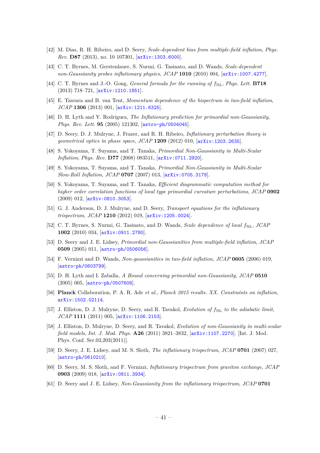- <span id="page-42-0"></span>[42] M. Dias, R. H. Ribeiro, and D. Seery, *Scale-dependent bias from multiple-field inflation*, *Phys. Rev.* **D87** (2013), no. 10 107301, [[arXiv:1303.6000](http://arxiv.org/abs/1303.6000)].
- <span id="page-42-1"></span>[43] C. T. Byrnes, M. Gerstenlauer, S. Nurmi, G. Tasinato, and D. Wands, *Scale-dependent non-Gaussianity probes inflationary physics*, *JCAP* **1010** (2010) 004, [[arXiv:1007.4277](http://arxiv.org/abs/1007.4277)].
- <span id="page-42-2"></span>[44] C. T. Byrnes and J.-O. Gong, *General formula for the running of*  $f_{NL}$ , *Phys. Lett.* **B718** (2013) 718–721, [[arXiv:1210.1851](http://arxiv.org/abs/1210.1851)].
- <span id="page-42-3"></span>[45] E. Tzavara and B. van Tent, *Momentum dependence of the bispectrum in two-field inflation*, *JCAP* **1306** (2013) 001, [[arXiv:1211.6325](http://arxiv.org/abs/1211.6325)].
- <span id="page-42-4"></span>[46] D. H. Lyth and Y. Rodriguez, *The Inflationary prediction for primordial non-Gaussianity*, *Phys. Rev. Lett.* **95** (2005) 121302, [[astro-ph/0504045](http://arxiv.org/abs/astro-ph/0504045)].
- <span id="page-42-5"></span>[47] D. Seery, D. J. Mulryne, J. Frazer, and R. H. Ribeiro, *Inflationary perturbation theory is geometrical optics in phase space*, *JCAP* **1209** (2012) 010, [[arXiv:1203.2635](http://arxiv.org/abs/1203.2635)].
- <span id="page-42-6"></span>[48] S. Yokoyama, T. Suyama, and T. Tanaka, *Primordial Non-Gaussianity in Multi-Scalar Inflation*, *Phys. Rev.* **D77** (2008) 083511, [[arXiv:0711.2920](http://arxiv.org/abs/0711.2920)].
- <span id="page-42-7"></span>[49] S. Yokoyama, T. Suyama, and T. Tanaka, *Primordial Non-Gaussianity in Multi-Scalar Slow-Roll Inflation*, *JCAP* **0707** (2007) 013, [[arXiv:0705.3178](http://arxiv.org/abs/0705.3178)].
- <span id="page-42-8"></span>[50] S. Yokoyama, T. Suyama, and T. Tanaka, *Efficient diagrammatic computation method for higher order correlation functions of local type primordial curvature perturbations*, *JCAP* **0902** (2009) 012, [[arXiv:0810.3053](http://arxiv.org/abs/0810.3053)].
- <span id="page-42-9"></span>[51] G. J. Anderson, D. J. Mulryne, and D. Seery, *Transport equations for the inflationary trispectrum*, *JCAP* **1210** (2012) 019, [[arXiv:1205.0024](http://arxiv.org/abs/1205.0024)].
- [52] C. T. Byrnes, S. Nurmi, G. Tasinato, and D. Wands, *Scale dependence of local*  $f_{\rm NL}$ , *JCAP* **1002** (2010) 034, [[arXiv:0911.2780](http://arxiv.org/abs/0911.2780)].
- <span id="page-42-10"></span>[53] D. Seery and J. E. Lidsey, *Primordial non-Gaussianities from multiple-field inflation*, *JCAP* **0509** (2005) 011, [[astro-ph/0506056](http://arxiv.org/abs/astro-ph/0506056)].
- <span id="page-42-11"></span>[54] F. Vernizzi and D. Wands, *Non-gaussianities in two-field inflation*, *JCAP* **0605** (2006) 019, [[astro-ph/0603799](http://arxiv.org/abs/astro-ph/0603799)].
- <span id="page-42-12"></span>[55] D. H. Lyth and I. Zaballa, *A Bound concerning primordial non-Gaussianity*, *JCAP* **0510** (2005) 005, [[astro-ph/0507608](http://arxiv.org/abs/astro-ph/0507608)].
- <span id="page-42-13"></span>[56] **Planck** Collaboration, P. A. R. Ade *et al.*, *Planck 2015 results. XX. Constraints on inflation*, [arXiv:1502.02114](http://arxiv.org/abs/1502.02114).
- <span id="page-42-14"></span>[57] J. Elliston, D. J. Mulryne, D. Seery, and R. Tavakol, *Evolution of*  $f_{\text{NL}}$  *to the adiabatic limit*, *JCAP* **1111** (2011) 005, [[arXiv:1106.2153](http://arxiv.org/abs/1106.2153)].
- <span id="page-42-15"></span>[58] J. Elliston, D. Mulryne, D. Seery, and R. Tavakol, *Evolution of non-Gaussianity in multi-scalar field models*, *Int. J. Mod. Phys.* **A26** (2011) 3821–3832, [[arXiv:1107.2270](http://arxiv.org/abs/1107.2270)]. [Int. J. Mod. Phys. Conf. Ser.03,203(2011)].
- [59] D. Seery, J. E. Lidsey, and M. S. Sloth, *The inflationary trispectrum*, *JCAP* **0701** (2007) 027, [[astro-ph/0610210](http://arxiv.org/abs/astro-ph/0610210)].
- [60] D. Seery, M. S. Sloth, and F. Vernizzi, *Inflationary trispectrum from graviton exchange*, *JCAP* **0903** (2009) 018, [[arXiv:0811.3934](http://arxiv.org/abs/0811.3934)].
- <span id="page-42-16"></span>[61] D. Seery and J. E. Lidsey, *Non-Gaussianity from the inflationary trispectrum*, *JCAP* **0701**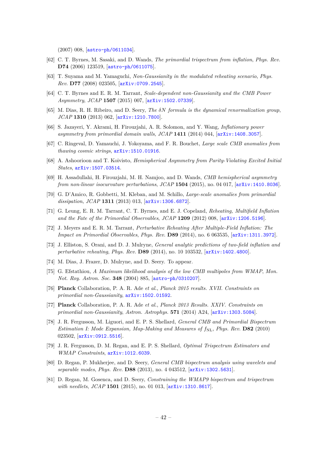<span id="page-43-0"></span>(2007) 008, [[astro-ph/0611034](http://arxiv.org/abs/astro-ph/0611034)].

- [62] C. T. Byrnes, M. Sasaki, and D. Wands, *The primordial trispectrum from inflation*, *Phys. Rev.* **D74** (2006) 123519, [[astro-ph/0611075](http://arxiv.org/abs/astro-ph/0611075)].
- <span id="page-43-1"></span>[63] T. Suyama and M. Yamaguchi, *Non-Gaussianity in the modulated reheating scenario*, *Phys. Rev.* **D77** (2008) 023505, [[arXiv:0709.2545](http://arxiv.org/abs/0709.2545)].
- [64] C. T. Byrnes and E. R. M. Tarrant, *Scale-dependent non-Gaussianity and the CMB Power Asymmetry*, *JCAP* **1507** (2015) 007, [[arXiv:1502.07339](http://arxiv.org/abs/1502.07339)].
- [65] M. Dias, R. H. Ribeiro, and D. Seery, *The δN formula is the dynamical renormalization group*, *JCAP* **1310** (2013) 062, [[arXiv:1210.7800](http://arxiv.org/abs/1210.7800)].
- [66] S. Jazayeri, Y. Akrami, H. Firouzjahi, A. R. Solomon, and Y. Wang, *Inflationary power asymmetry from primordial domain walls*, *JCAP* **1411** (2014) 044, [[arXiv:1408.3057](http://arxiv.org/abs/1408.3057)].
- [67] C. Ringeval, D. Yamauchi, J. Yokoyama, and F. R. Bouchet, *Large scale CMB anomalies from thawing cosmic strings*, [arXiv:1510.01916](http://arxiv.org/abs/1510.01916).
- [68] A. Ashoorioon and T. Koivisto, *Hemispherical Asymmetry from Parity-Violating Excited Initial States*, [arXiv:1507.03514](http://arxiv.org/abs/1507.03514).
- [69] H. Assadullahi, H. Firouzjahi, M. H. Namjoo, and D. Wands, *CMB hemispherical asymmetry from non-linear isocurvature perturbations*, *JCAP* **1504** (2015), no. 04 017, [[arXiv:1410.8036](http://arxiv.org/abs/1410.8036)].
- [70] G. D'Amico, R. Gobbetti, M. Kleban, and M. Schillo, *Large-scale anomalies from primordial dissipation*, *JCAP* **1311** (2013) 013, [[arXiv:1306.6872](http://arxiv.org/abs/1306.6872)].
- [71] G. Leung, E. R. M. Tarrant, C. T. Byrnes, and E. J. Copeland, *Reheating, Multifield Inflation and the Fate of the Primordial Observables*, *JCAP* **1209** (2012) 008, [[arXiv:1206.5196](http://arxiv.org/abs/1206.5196)].
- [72] J. Meyers and E. R. M. Tarrant, *Perturbative Reheating After Multiple-Field Inflation: The Impact on Primordial Observables*, *Phys. Rev.* **D89** (2014), no. 6 063535, [[arXiv:1311.3972](http://arxiv.org/abs/1311.3972)].
- [73] J. Elliston, S. Orani, and D. J. Mulryne, *General analytic predictions of two-field inflation and perturbative reheating*, *Phys. Rev.* **D89** (2014), no. 10 103532, [[arXiv:1402.4800](http://arxiv.org/abs/1402.4800)].
- [74] M. Dias, J. Frazer, D. Mulryne, and D. Seery. To appear.
- [75] G. Efstathiou, *A Maximum likelihood analysis of the low CMB multipoles from WMAP*, *Mon. Not. Roy. Astron. Soc.* **348** (2004) 885, [[astro-ph/0310207](http://arxiv.org/abs/astro-ph/0310207)].
- [76] **Planck** Collaboration, P. A. R. Ade *et al.*, *Planck 2015 results. XVII. Constraints on primordial non-Gaussianity*, [arXiv:1502.01592](http://arxiv.org/abs/1502.01592).
- [77] **Planck** Collaboration, P. A. R. Ade *et al.*, *Planck 2013 Results. XXIV. Constraints on primordial non-Gaussianity*, *Astron. Astrophys.* **571** (2014) A24, [[arXiv:1303.5084](http://arxiv.org/abs/1303.5084)].
- [78] J. R. Fergusson, M. Liguori, and E. P. S. Shellard, *General CMB and Primordial Bispectrum Estimation I: Mode Expansion, Map-Making and Measures of*  $f_{\rm NL}$ , *Phys. Rev.* **D82** (2010) 023502, [[arXiv:0912.5516](http://arxiv.org/abs/0912.5516)].
- [79] J. R. Fergusson, D. M. Regan, and E. P. S. Shellard, *Optimal Trispectrum Estimators and WMAP Constraints*, [arXiv:1012.6039](http://arxiv.org/abs/1012.6039).
- [80] D. Regan, P. Mukherjee, and D. Seery, *General CMB bispectrum analysis using wavelets and separable modes*, *Phys. Rev.* **D88** (2013), no. 4 043512, [[arXiv:1302.5631](http://arxiv.org/abs/1302.5631)].
- [81] D. Regan, M. Gosenca, and D. Seery, *Constraining the WMAP9 bispectrum and trispectrum with needlets*, *JCAP* **1501** (2015), no. 01 013, [[arXiv:1310.8617](http://arxiv.org/abs/1310.8617)].